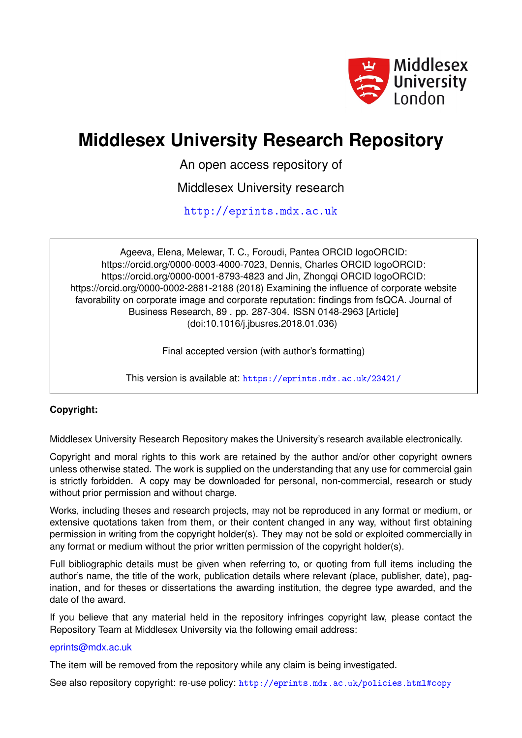

# **Middlesex University Research Repository**

An open access repository of

Middlesex University research

<http://eprints.mdx.ac.uk>

Ageeva, Elena, Melewar, T. C., Foroudi, Pantea ORCID logoORCID: https://orcid.org/0000-0003-4000-7023, Dennis, Charles ORCID logoORCID: https://orcid.org/0000-0001-8793-4823 and Jin, Zhongqi ORCID logoORCID: https://orcid.org/0000-0002-2881-2188 (2018) Examining the influence of corporate website favorability on corporate image and corporate reputation: findings from fsQCA. Journal of Business Research, 89 . pp. 287-304. ISSN 0148-2963 [Article] (doi:10.1016/j.jbusres.2018.01.036)

Final accepted version (with author's formatting)

This version is available at: <https://eprints.mdx.ac.uk/23421/>

# **Copyright:**

Middlesex University Research Repository makes the University's research available electronically.

Copyright and moral rights to this work are retained by the author and/or other copyright owners unless otherwise stated. The work is supplied on the understanding that any use for commercial gain is strictly forbidden. A copy may be downloaded for personal, non-commercial, research or study without prior permission and without charge.

Works, including theses and research projects, may not be reproduced in any format or medium, or extensive quotations taken from them, or their content changed in any way, without first obtaining permission in writing from the copyright holder(s). They may not be sold or exploited commercially in any format or medium without the prior written permission of the copyright holder(s).

Full bibliographic details must be given when referring to, or quoting from full items including the author's name, the title of the work, publication details where relevant (place, publisher, date), pagination, and for theses or dissertations the awarding institution, the degree type awarded, and the date of the award.

If you believe that any material held in the repository infringes copyright law, please contact the Repository Team at Middlesex University via the following email address:

## [eprints@mdx.ac.uk](mailto:eprints@mdx.ac.uk)

The item will be removed from the repository while any claim is being investigated.

See also repository copyright: re-use policy: <http://eprints.mdx.ac.uk/policies.html#copy>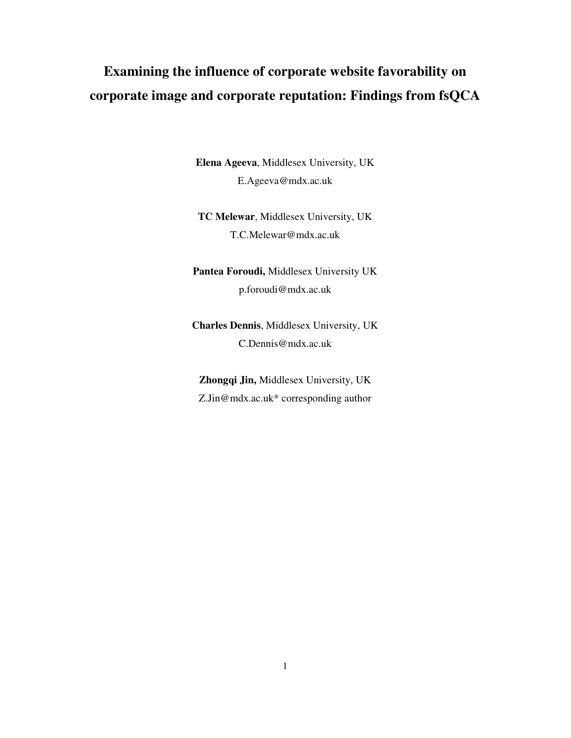# **Examining the influence of corporate website favorability on corporate image and corporate reputation: Findings from fsQCA**

**Elena Ageeva**, Middlesex University, UK E.Ageeva@mdx.ac.uk

**TC Melewar**, Middlesex University, UK T.C.Melewar@mdx.ac.uk

**Pantea Foroudi,** Middlesex University UK p.foroudi@mdx.ac.uk

**Charles Dennis**, Middlesex University, UK C.Dennis@mdx.ac.uk

**Zhongqi Jin,** Middlesex University, UK Z.Jin@mdx.ac.uk\* corresponding author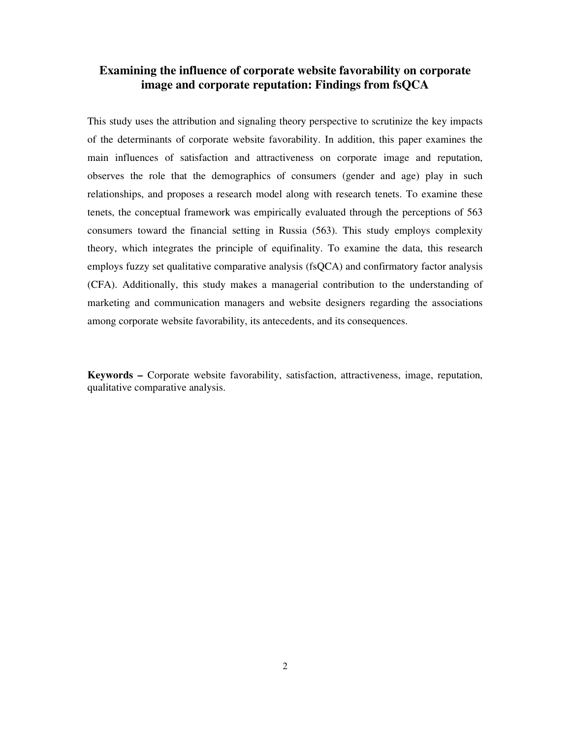# **Examining the influence of corporate website favorability on corporate image and corporate reputation: Findings from fsQCA**

This study uses the attribution and signaling theory perspective to scrutinize the key impacts of the determinants of corporate website favorability. In addition, this paper examines the main influences of satisfaction and attractiveness on corporate image and reputation, observes the role that the demographics of consumers (gender and age) play in such relationships, and proposes a research model along with research tenets. To examine these tenets, the conceptual framework was empirically evaluated through the perceptions of 563 consumers toward the financial setting in Russia (563). This study employs complexity theory, which integrates the principle of equifinality. To examine the data, this research employs fuzzy set qualitative comparative analysis (fsQCA) and confirmatory factor analysis (CFA). Additionally, this study makes a managerial contribution to the understanding of marketing and communication managers and website designers regarding the associations among corporate website favorability, its antecedents, and its consequences.

**Keywords –** Corporate website favorability, satisfaction, attractiveness, image, reputation, qualitative comparative analysis.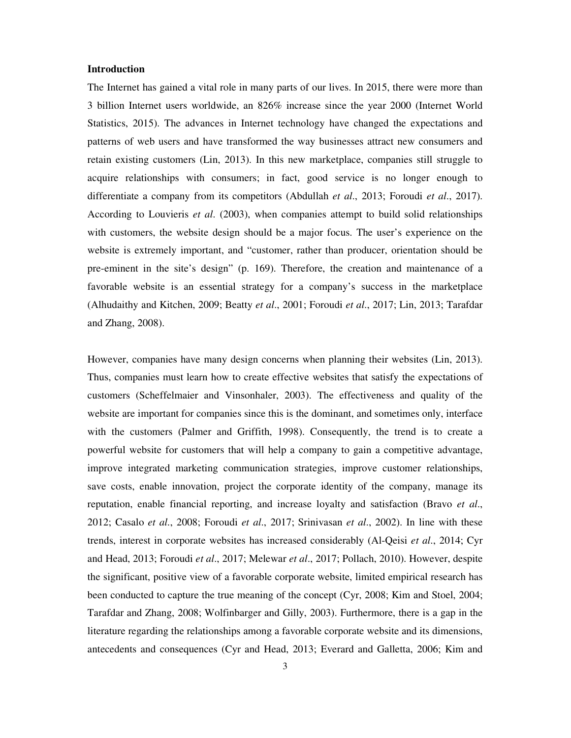#### **Introduction**

The Internet has gained a vital role in many parts of our lives. In 2015, there were more than 3 billion Internet users worldwide, an 826% increase since the year 2000 (Internet World Statistics, 2015). The advances in Internet technology have changed the expectations and patterns of web users and have transformed the way businesses attract new consumers and retain existing customers (Lin, 2013). In this new marketplace, companies still struggle to acquire relationships with consumers; in fact, good service is no longer enough to differentiate a company from its competitors (Abdullah *et al*., 2013; Foroudi *et al*., 2017). According to Louvieris *et al*. (2003), when companies attempt to build solid relationships with customers, the website design should be a major focus. The user's experience on the website is extremely important, and "customer, rather than producer, orientation should be pre-eminent in the site's design" (p. 169). Therefore, the creation and maintenance of a favorable website is an essential strategy for a company's success in the marketplace (Alhudaithy and Kitchen, 2009; Beatty *et al*., 2001; Foroudi *et al*., 2017; Lin, 2013; Tarafdar and Zhang, 2008).

However, companies have many design concerns when planning their websites (Lin, 2013). Thus, companies must learn how to create effective websites that satisfy the expectations of customers (Scheffelmaier and Vinsonhaler, 2003). The effectiveness and quality of the website are important for companies since this is the dominant, and sometimes only, interface with the customers (Palmer and Griffith, 1998). Consequently, the trend is to create a powerful website for customers that will help a company to gain a competitive advantage, improve integrated marketing communication strategies, improve customer relationships, save costs, enable innovation, project the corporate identity of the company, manage its reputation, enable financial reporting, and increase loyalty and satisfaction (Bravo *et al*., 2012; Casalo *et al*., 2008; Foroudi *et al*., 2017; Srinivasan *et al*., 2002). In line with these trends, interest in corporate websites has increased considerably (Al-Qeisi *et al*., 2014; Cyr and Head, 2013; Foroudi *et al*., 2017; Melewar *et al*., 2017; Pollach, 2010). However, despite the significant, positive view of a favorable corporate website, limited empirical research has been conducted to capture the true meaning of the concept (Cyr, 2008; Kim and Stoel, 2004; Tarafdar and Zhang, 2008; Wolfinbarger and Gilly, 2003). Furthermore, there is a gap in the literature regarding the relationships among a favorable corporate website and its dimensions, antecedents and consequences (Cyr and Head, 2013; Everard and Galletta, 2006; Kim and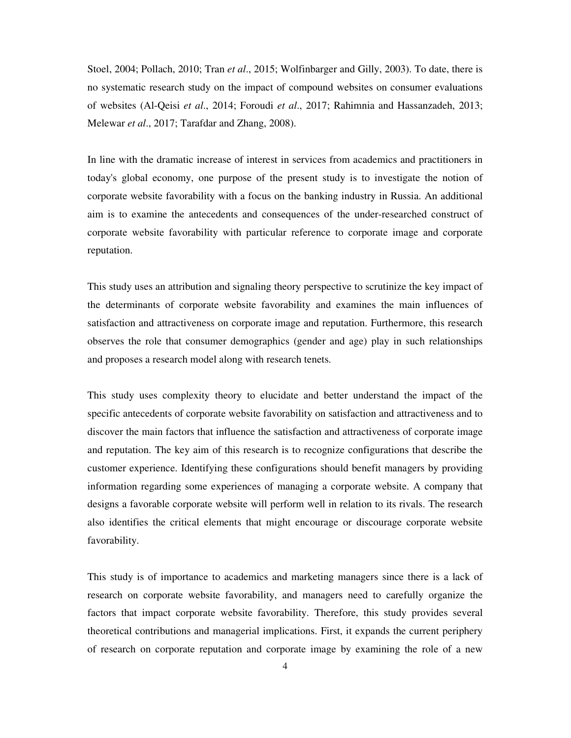Stoel, 2004; Pollach, 2010; Tran *et al*., 2015; Wolfinbarger and Gilly, 2003). To date, there is no systematic research study on the impact of compound websites on consumer evaluations of websites (Al-Qeisi *et al*., 2014; Foroudi *et al*., 2017; Rahimnia and Hassanzadeh, 2013; Melewar *et al*., 2017; Tarafdar and Zhang, 2008).

In line with the dramatic increase of interest in services from academics and practitioners in today's global economy, one purpose of the present study is to investigate the notion of corporate website favorability with a focus on the banking industry in Russia. An additional aim is to examine the antecedents and consequences of the under-researched construct of corporate website favorability with particular reference to corporate image and corporate reputation.

This study uses an attribution and signaling theory perspective to scrutinize the key impact of the determinants of corporate website favorability and examines the main influences of satisfaction and attractiveness on corporate image and reputation. Furthermore, this research observes the role that consumer demographics (gender and age) play in such relationships and proposes a research model along with research tenets.

This study uses complexity theory to elucidate and better understand the impact of the specific antecedents of corporate website favorability on satisfaction and attractiveness and to discover the main factors that influence the satisfaction and attractiveness of corporate image and reputation. The key aim of this research is to recognize configurations that describe the customer experience. Identifying these configurations should benefit managers by providing information regarding some experiences of managing a corporate website. A company that designs a favorable corporate website will perform well in relation to its rivals. The research also identifies the critical elements that might encourage or discourage corporate website favorability.

This study is of importance to academics and marketing managers since there is a lack of research on corporate website favorability, and managers need to carefully organize the factors that impact corporate website favorability. Therefore, this study provides several theoretical contributions and managerial implications. First, it expands the current periphery of research on corporate reputation and corporate image by examining the role of a new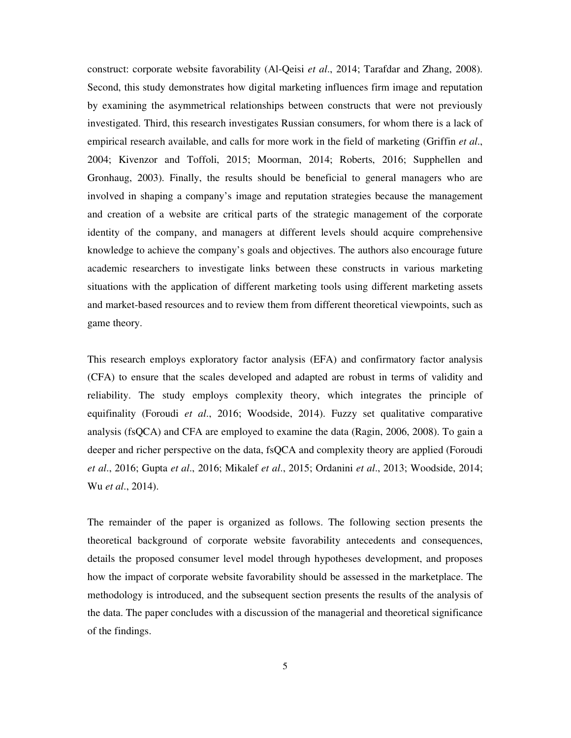construct: corporate website favorability (Al-Qeisi *et al*., 2014; Tarafdar and Zhang, 2008). Second, this study demonstrates how digital marketing influences firm image and reputation by examining the asymmetrical relationships between constructs that were not previously investigated. Third, this research investigates Russian consumers, for whom there is a lack of empirical research available, and calls for more work in the field of marketing (Griffin *et al*., 2004; Kivenzor and Toffoli, 2015; Moorman, 2014; Roberts, 2016; Supphellen and Gronhaug, 2003). Finally, the results should be beneficial to general managers who are involved in shaping a company's image and reputation strategies because the management and creation of a website are critical parts of the strategic management of the corporate identity of the company, and managers at different levels should acquire comprehensive knowledge to achieve the company's goals and objectives. The authors also encourage future academic researchers to investigate links between these constructs in various marketing situations with the application of different marketing tools using different marketing assets and market-based resources and to review them from different theoretical viewpoints, such as game theory.

This research employs exploratory factor analysis (EFA) and confirmatory factor analysis (CFA) to ensure that the scales developed and adapted are robust in terms of validity and reliability. The study employs complexity theory, which integrates the principle of equifinality (Foroudi *et al*., 2016; Woodside, 2014). Fuzzy set qualitative comparative analysis (fsQCA) and CFA are employed to examine the data (Ragin, 2006, 2008). To gain a deeper and richer perspective on the data, fsQCA and complexity theory are applied (Foroudi *et al*., 2016; Gupta *et al*., 2016; Mikalef *et al*., 2015; Ordanini *et al*., 2013; Woodside, 2014; Wu *et al*., 2014).

The remainder of the paper is organized as follows. The following section presents the theoretical background of corporate website favorability antecedents and consequences, details the proposed consumer level model through hypotheses development, and proposes how the impact of corporate website favorability should be assessed in the marketplace. The methodology is introduced, and the subsequent section presents the results of the analysis of the data. The paper concludes with a discussion of the managerial and theoretical significance of the findings.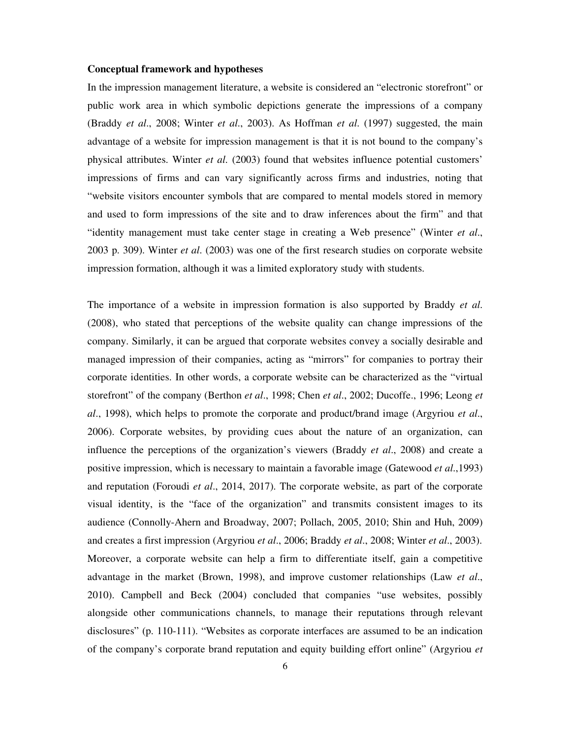#### **Conceptual framework and hypotheses**

In the impression management literature, a website is considered an "electronic storefront" or public work area in which symbolic depictions generate the impressions of a company (Braddy *et al*., 2008; Winter *et al*., 2003). As Hoffman *et al*. (1997) suggested, the main advantage of a website for impression management is that it is not bound to the company's physical attributes. Winter *et al*. (2003) found that websites influence potential customers' impressions of firms and can vary significantly across firms and industries, noting that "website visitors encounter symbols that are compared to mental models stored in memory and used to form impressions of the site and to draw inferences about the firm" and that "identity management must take center stage in creating a Web presence" (Winter *et al*., 2003 p. 309). Winter *et al*. (2003) was one of the first research studies on corporate website impression formation, although it was a limited exploratory study with students.

The importance of a website in impression formation is also supported by Braddy *et al*. (2008), who stated that perceptions of the website quality can change impressions of the company. Similarly, it can be argued that corporate websites convey a socially desirable and managed impression of their companies, acting as "mirrors" for companies to portray their corporate identities. In other words, a corporate website can be characterized as the "virtual storefront" of the company (Berthon *et al*., 1998; Chen *et al*., 2002; Ducoffe., 1996; Leong *et al*., 1998), which helps to promote the corporate and product/brand image (Argyriou *et al*., 2006). Corporate websites, by providing cues about the nature of an organization, can influence the perceptions of the organization's viewers (Braddy *et al*., 2008) and create a positive impression, which is necessary to maintain a favorable image (Gatewood *et al*.,1993) and reputation (Foroudi *et al*., 2014, 2017). The corporate website, as part of the corporate visual identity, is the "face of the organization" and transmits consistent images to its audience (Connolly-Ahern and Broadway, 2007; Pollach, 2005, 2010; Shin and Huh, 2009) and creates a first impression (Argyriou *et al*., 2006; Braddy *et al*., 2008; Winter *et al*., 2003). Moreover, a corporate website can help a firm to differentiate itself, gain a competitive advantage in the market (Brown, 1998), and improve customer relationships (Law *et al*., 2010). Campbell and Beck (2004) concluded that companies "use websites, possibly alongside other communications channels, to manage their reputations through relevant disclosures" (p. 110-111). "Websites as corporate interfaces are assumed to be an indication of the company's corporate brand reputation and equity building effort online" (Argyriou *et*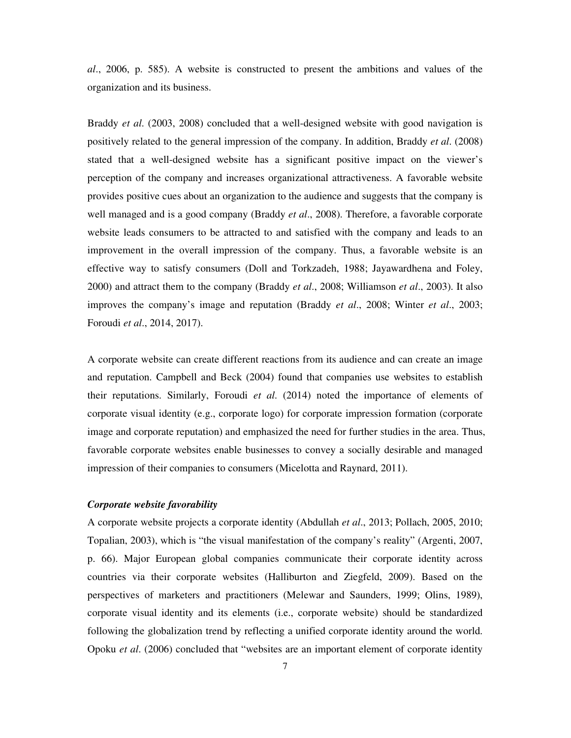*al*., 2006, p. 585). A website is constructed to present the ambitions and values of the organization and its business.

Braddy *et al*. (2003, 2008) concluded that a well-designed website with good navigation is positively related to the general impression of the company. In addition, Braddy *et al*. (2008) stated that a well-designed website has a significant positive impact on the viewer's perception of the company and increases organizational attractiveness. A favorable website provides positive cues about an organization to the audience and suggests that the company is well managed and is a good company (Braddy *et al*., 2008). Therefore, a favorable corporate website leads consumers to be attracted to and satisfied with the company and leads to an improvement in the overall impression of the company. Thus, a favorable website is an effective way to satisfy consumers (Doll and Torkzadeh, 1988; Jayawardhena and Foley, 2000) and attract them to the company (Braddy *et al*., 2008; Williamson *et al*., 2003). It also improves the company's image and reputation (Braddy *et al*., 2008; Winter *et al*., 2003; Foroudi *et al*., 2014, 2017).

A corporate website can create different reactions from its audience and can create an image and reputation. Campbell and Beck (2004) found that companies use websites to establish their reputations. Similarly, Foroudi *et al*. (2014) noted the importance of elements of corporate visual identity (e.g., corporate logo) for corporate impression formation (corporate image and corporate reputation) and emphasized the need for further studies in the area. Thus, favorable corporate websites enable businesses to convey a socially desirable and managed impression of their companies to consumers (Micelotta and Raynard, 2011).

#### *Corporate website favorability*

A corporate website projects a corporate identity (Abdullah *et al*., 2013; Pollach, 2005, 2010; Topalian, 2003), which is "the visual manifestation of the company's reality" (Argenti, 2007, p. 66). Major European global companies communicate their corporate identity across countries via their corporate websites (Halliburton and Ziegfeld, 2009). Based on the perspectives of marketers and practitioners (Melewar and Saunders, 1999; Olins, 1989), corporate visual identity and its elements (i.e., corporate website) should be standardized following the globalization trend by reflecting a unified corporate identity around the world. Opoku *et al*. (2006) concluded that "websites are an important element of corporate identity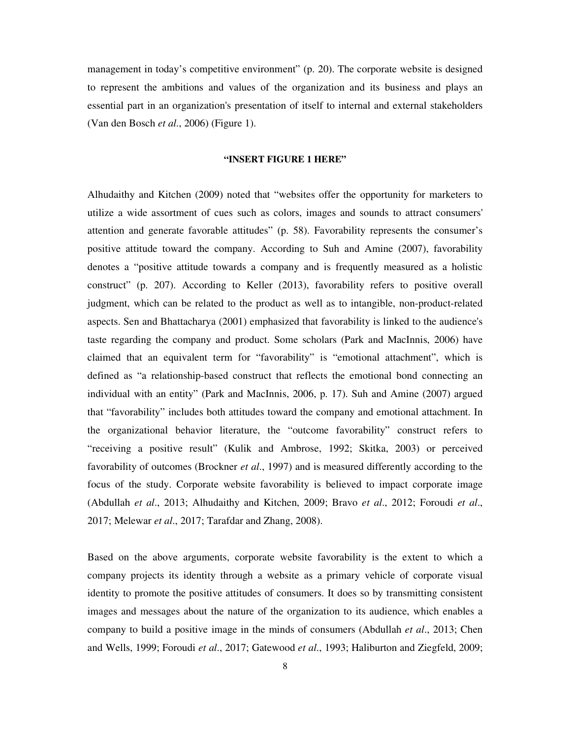management in today's competitive environment" (p. 20). The corporate website is designed to represent the ambitions and values of the organization and its business and plays an essential part in an organization's presentation of itself to internal and external stakeholders (Van den Bosch *et al*., 2006) (Figure 1).

#### **"INSERT FIGURE 1 HERE"**

Alhudaithy and Kitchen (2009) noted that "websites offer the opportunity for marketers to utilize a wide assortment of cues such as colors, images and sounds to attract consumers' attention and generate favorable attitudes" (p. 58). Favorability represents the consumer's positive attitude toward the company. According to Suh and Amine (2007), favorability denotes a "positive attitude towards a company and is frequently measured as a holistic construct" (p. 207). According to Keller (2013), favorability refers to positive overall judgment, which can be related to the product as well as to intangible, non-product-related aspects. Sen and Bhattacharya (2001) emphasized that favorability is linked to the audience's taste regarding the company and product. Some scholars (Park and MacInnis, 2006) have claimed that an equivalent term for "favorability" is "emotional attachment", which is defined as "a relationship-based construct that reflects the emotional bond connecting an individual with an entity" (Park and MacInnis, 2006, p. 17). Suh and Amine (2007) argued that "favorability" includes both attitudes toward the company and emotional attachment. In the organizational behavior literature, the "outcome favorability" construct refers to "receiving a positive result" (Kulik and Ambrose, 1992; Skitka, 2003) or perceived favorability of outcomes (Brockner *et al*., 1997) and is measured differently according to the focus of the study. Corporate website favorability is believed to impact corporate image (Abdullah *et al*., 2013; Alhudaithy and Kitchen, 2009; Bravo *et al*., 2012; Foroudi *et al*., 2017; Melewar *et al*., 2017; Tarafdar and Zhang, 2008).

Based on the above arguments, corporate website favorability is the extent to which a company projects its identity through a website as a primary vehicle of corporate visual identity to promote the positive attitudes of consumers. It does so by transmitting consistent images and messages about the nature of the organization to its audience, which enables a company to build a positive image in the minds of consumers (Abdullah *et al*., 2013; Chen and Wells, 1999; Foroudi *et al*., 2017; Gatewood *et al*., 1993; Haliburton and Ziegfeld, 2009;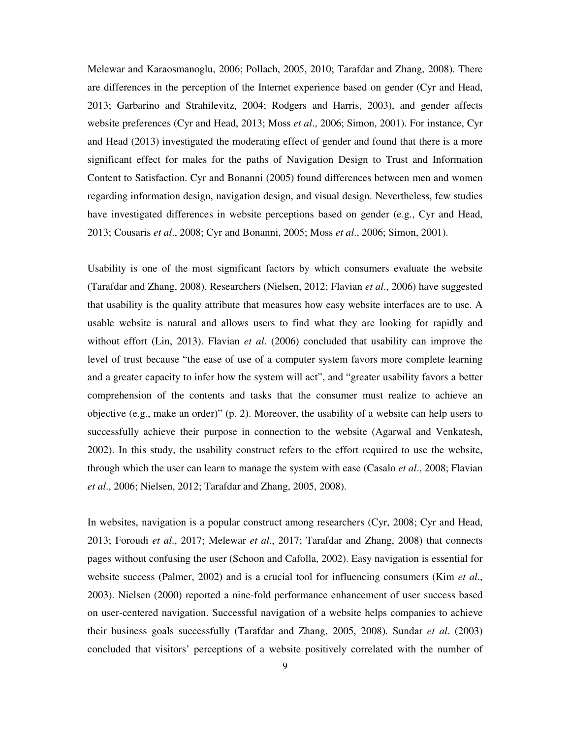Melewar and Karaosmanoglu, 2006; Pollach, 2005, 2010; Tarafdar and Zhang, 2008). There are differences in the perception of the Internet experience based on gender (Cyr and Head, 2013; Garbarino and Strahilevitz, 2004; Rodgers and Harris, 2003), and gender affects website preferences (Cyr and Head, 2013; Moss *et al*., 2006; Simon, 2001). For instance, Cyr and Head (2013) investigated the moderating effect of gender and found that there is a more significant effect for males for the paths of Navigation Design to Trust and Information Content to Satisfaction. Cyr and Bonanni (2005) found differences between men and women regarding information design, navigation design, and visual design. Nevertheless, few studies have investigated differences in website perceptions based on gender (e.g., Cyr and Head, 2013; Cousaris *et al*., 2008; Cyr and Bonanni, 2005; Moss *et al*., 2006; Simon, 2001).

Usability is one of the most significant factors by which consumers evaluate the website (Tarafdar and Zhang, 2008). Researchers (Nielsen, 2012; Flavian *et al*., 2006) have suggested that usability is the quality attribute that measures how easy website interfaces are to use. A usable website is natural and allows users to find what they are looking for rapidly and without effort (Lin, 2013). Flavian *et al*. (2006) concluded that usability can improve the level of trust because "the ease of use of a computer system favors more complete learning and a greater capacity to infer how the system will act", and "greater usability favors a better comprehension of the contents and tasks that the consumer must realize to achieve an objective (e.g., make an order)" (p. 2). Moreover, the usability of a website can help users to successfully achieve their purpose in connection to the website (Agarwal and Venkatesh, 2002). In this study, the usability construct refers to the effort required to use the website, through which the user can learn to manage the system with ease (Casalo *et al*., 2008; Flavian *et al*., 2006; Nielsen, 2012; Tarafdar and Zhang, 2005, 2008).

In websites, navigation is a popular construct among researchers (Cyr, 2008; Cyr and Head, 2013; Foroudi *et al*., 2017; Melewar *et al*., 2017; Tarafdar and Zhang, 2008) that connects pages without confusing the user (Schoon and Cafolla, 2002). Easy navigation is essential for website success (Palmer, 2002) and is a crucial tool for influencing consumers (Kim *et al*., 2003). Nielsen (2000) reported a nine-fold performance enhancement of user success based on user-centered navigation. Successful navigation of a website helps companies to achieve their business goals successfully (Tarafdar and Zhang, 2005, 2008). Sundar *et al*. (2003) concluded that visitors' perceptions of a website positively correlated with the number of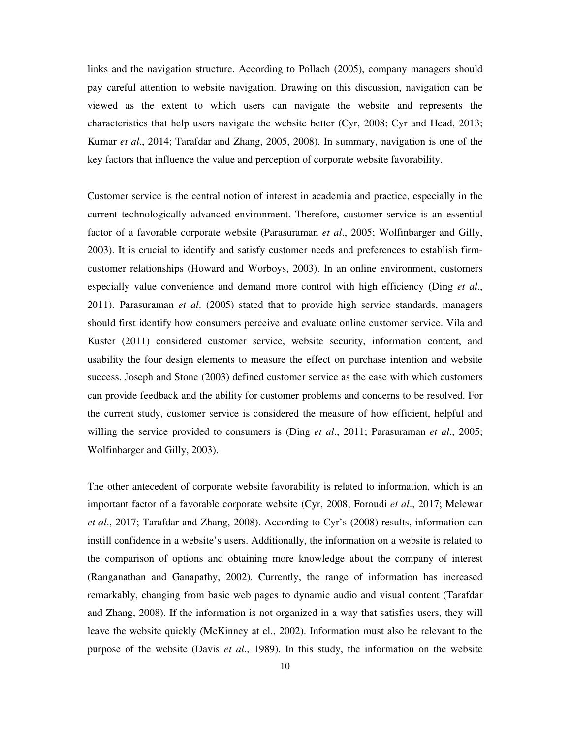links and the navigation structure. According to Pollach (2005), company managers should pay careful attention to website navigation. Drawing on this discussion, navigation can be viewed as the extent to which users can navigate the website and represents the characteristics that help users navigate the website better (Cyr, 2008; Cyr and Head, 2013; Kumar *et al*., 2014; Tarafdar and Zhang, 2005, 2008). In summary, navigation is one of the key factors that influence the value and perception of corporate website favorability.

Customer service is the central notion of interest in academia and practice, especially in the current technologically advanced environment. Therefore, customer service is an essential factor of a favorable corporate website (Parasuraman *et al*., 2005; Wolfinbarger and Gilly, 2003). It is crucial to identify and satisfy customer needs and preferences to establish firmcustomer relationships (Howard and Worboys, 2003). In an online environment, customers especially value convenience and demand more control with high efficiency (Ding *et al*., 2011). Parasuraman *et al*. (2005) stated that to provide high service standards, managers should first identify how consumers perceive and evaluate online customer service. Vila and Kuster (2011) considered customer service, website security, information content, and usability the four design elements to measure the effect on purchase intention and website success. Joseph and Stone (2003) defined customer service as the ease with which customers can provide feedback and the ability for customer problems and concerns to be resolved. For the current study, customer service is considered the measure of how efficient, helpful and willing the service provided to consumers is (Ding *et al*., 2011; Parasuraman *et al*., 2005; Wolfinbarger and Gilly, 2003).

The other antecedent of corporate website favorability is related to information, which is an important factor of a favorable corporate website (Cyr, 2008; Foroudi *et al*., 2017; Melewar *et al*., 2017; Tarafdar and Zhang, 2008). According to Cyr's (2008) results, information can instill confidence in a website's users. Additionally, the information on a website is related to the comparison of options and obtaining more knowledge about the company of interest (Ranganathan and Ganapathy, 2002). Currently, the range of information has increased remarkably, changing from basic web pages to dynamic audio and visual content (Tarafdar and Zhang, 2008). If the information is not organized in a way that satisfies users, they will leave the website quickly (McKinney at el., 2002). Information must also be relevant to the purpose of the website (Davis *et al*., 1989). In this study, the information on the website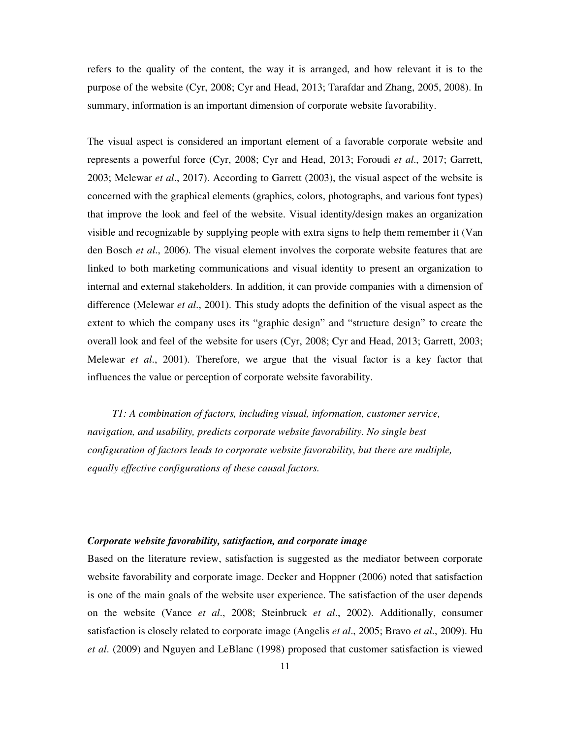refers to the quality of the content, the way it is arranged, and how relevant it is to the purpose of the website (Cyr, 2008; Cyr and Head, 2013; Tarafdar and Zhang, 2005, 2008). In summary, information is an important dimension of corporate website favorability.

The visual aspect is considered an important element of a favorable corporate website and represents a powerful force (Cyr, 2008; Cyr and Head, 2013; Foroudi *et al*., 2017; Garrett, 2003; Melewar *et al*., 2017). According to Garrett (2003), the visual aspect of the website is concerned with the graphical elements (graphics, colors, photographs, and various font types) that improve the look and feel of the website. Visual identity/design makes an organization visible and recognizable by supplying people with extra signs to help them remember it (Van den Bosch *et al*., 2006). The visual element involves the corporate website features that are linked to both marketing communications and visual identity to present an organization to internal and external stakeholders. In addition, it can provide companies with a dimension of difference (Melewar *et al*., 2001). This study adopts the definition of the visual aspect as the extent to which the company uses its "graphic design" and "structure design" to create the overall look and feel of the website for users (Cyr, 2008; Cyr and Head, 2013; Garrett, 2003; Melewar *et al*., 2001). Therefore, we argue that the visual factor is a key factor that influences the value or perception of corporate website favorability.

*T1: A combination of factors, including visual, information, customer service, navigation, and usability, predicts corporate website favorability. No single best configuration of factors leads to corporate website favorability, but there are multiple, equally effective configurations of these causal factors.* 

#### *Corporate website favorability, satisfaction, and corporate image*

Based on the literature review, satisfaction is suggested as the mediator between corporate website favorability and corporate image. Decker and Hoppner (2006) noted that satisfaction is one of the main goals of the website user experience. The satisfaction of the user depends on the website (Vance *et al*., 2008; Steinbruck *et al*., 2002). Additionally, consumer satisfaction is closely related to corporate image (Angelis *et al*., 2005; Bravo *et al*., 2009). Hu *et al*. (2009) and Nguyen and LeBlanc (1998) proposed that customer satisfaction is viewed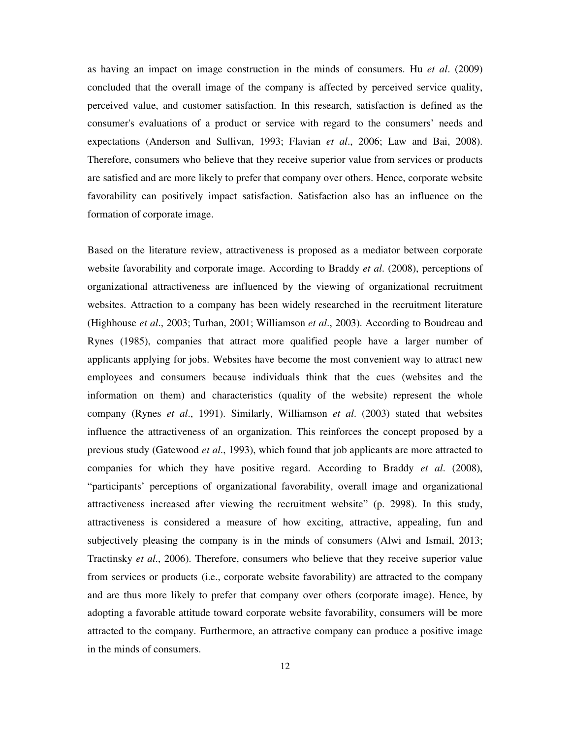as having an impact on image construction in the minds of consumers. Hu *et al*. (2009) concluded that the overall image of the company is affected by perceived service quality, perceived value, and customer satisfaction. In this research, satisfaction is defined as the consumer's evaluations of a product or service with regard to the consumers' needs and expectations (Anderson and Sullivan, 1993; Flavian *et al*., 2006; Law and Bai, 2008). Therefore, consumers who believe that they receive superior value from services or products are satisfied and are more likely to prefer that company over others. Hence, corporate website favorability can positively impact satisfaction. Satisfaction also has an influence on the formation of corporate image.

Based on the literature review, attractiveness is proposed as a mediator between corporate website favorability and corporate image. According to Braddy *et al*. (2008), perceptions of organizational attractiveness are influenced by the viewing of organizational recruitment websites. Attraction to a company has been widely researched in the recruitment literature (Highhouse *et al*., 2003; Turban, 2001; Williamson *et al*., 2003). According to Boudreau and Rynes (1985), companies that attract more qualified people have a larger number of applicants applying for jobs. Websites have become the most convenient way to attract new employees and consumers because individuals think that the cues (websites and the information on them) and characteristics (quality of the website) represent the whole company (Rynes *et al*., 1991). Similarly, Williamson *et al*. (2003) stated that websites influence the attractiveness of an organization. This reinforces the concept proposed by a previous study (Gatewood *et al*., 1993), which found that job applicants are more attracted to companies for which they have positive regard. According to Braddy *et al*. (2008), "participants' perceptions of organizational favorability, overall image and organizational attractiveness increased after viewing the recruitment website" (p. 2998). In this study, attractiveness is considered a measure of how exciting, attractive, appealing, fun and subjectively pleasing the company is in the minds of consumers (Alwi and Ismail, 2013; Tractinsky *et al*., 2006). Therefore, consumers who believe that they receive superior value from services or products (i.e., corporate website favorability) are attracted to the company and are thus more likely to prefer that company over others (corporate image). Hence, by adopting a favorable attitude toward corporate website favorability, consumers will be more attracted to the company. Furthermore, an attractive company can produce a positive image in the minds of consumers.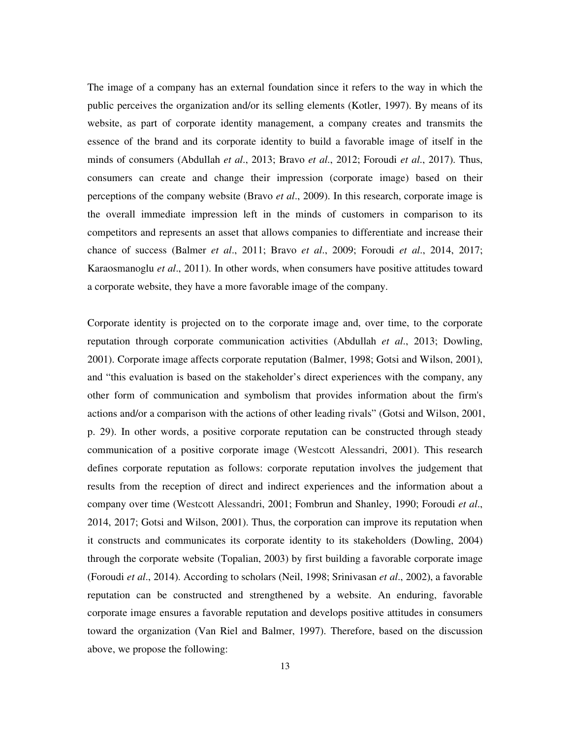The image of a company has an external foundation since it refers to the way in which the public perceives the organization and/or its selling elements (Kotler, 1997). By means of its website, as part of corporate identity management, a company creates and transmits the essence of the brand and its corporate identity to build a favorable image of itself in the minds of consumers (Abdullah *et al*., 2013; Bravo *et al*., 2012; Foroudi *et al*., 2017). Thus, consumers can create and change their impression (corporate image) based on their perceptions of the company website (Bravo *et al*., 2009). In this research, corporate image is the overall immediate impression left in the minds of customers in comparison to its competitors and represents an asset that allows companies to differentiate and increase their chance of success (Balmer *et al*., 2011; Bravo *et al*., 2009; Foroudi *et al*., 2014, 2017; Karaosmanoglu *et al*., 2011). In other words, when consumers have positive attitudes toward a corporate website, they have a more favorable image of the company.

Corporate identity is projected on to the corporate image and, over time, to the corporate reputation through corporate communication activities (Abdullah *et al*., 2013; Dowling, 2001). Corporate image affects corporate reputation (Balmer, 1998; Gotsi and Wilson, 2001), and "this evaluation is based on the stakeholder's direct experiences with the company, any other form of communication and symbolism that provides information about the firm's actions and/or a comparison with the actions of other leading rivals" (Gotsi and Wilson, 2001, p. 29). In other words, a positive corporate reputation can be constructed through steady communication of a positive corporate image (Westcott Alessandri, 2001). This research defines corporate reputation as follows: corporate reputation involves the judgement that results from the reception of direct and indirect experiences and the information about a company over time (Westcott Alessandri, 2001; Fombrun and Shanley, 1990; Foroudi *et al*., 2014, 2017; Gotsi and Wilson, 2001). Thus, the corporation can improve its reputation when it constructs and communicates its corporate identity to its stakeholders (Dowling, 2004) through the corporate website (Topalian, 2003) by first building a favorable corporate image (Foroudi *et al*., 2014). According to scholars (Neil, 1998; Srinivasan *et al*., 2002), a favorable reputation can be constructed and strengthened by a website. An enduring, favorable corporate image ensures a favorable reputation and develops positive attitudes in consumers toward the organization (Van Riel and Balmer, 1997). Therefore, based on the discussion above, we propose the following: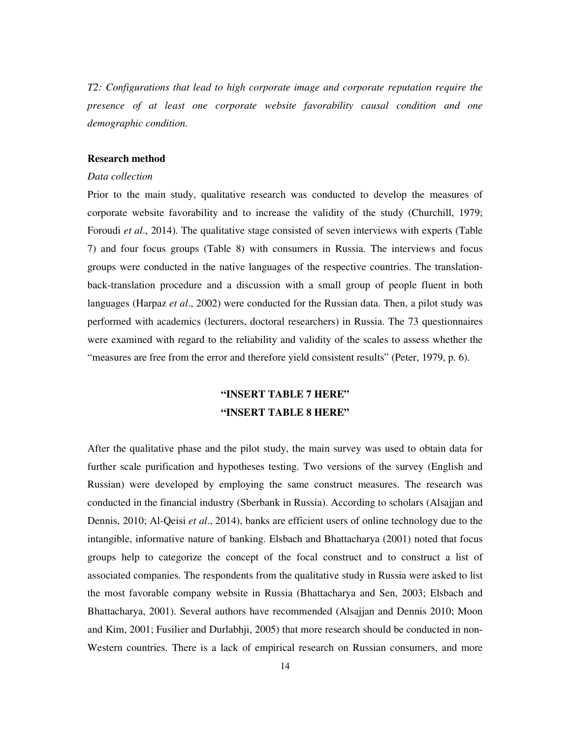*T2: Configurations that lead to high corporate image and corporate reputation require the presence of at least one corporate website favorability causal condition and one demographic condition.* 

### **Research method**

#### *Data collection*

Prior to the main study, qualitative research was conducted to develop the measures of corporate website favorability and to increase the validity of the study (Churchill, 1979; Foroudi *et al*., 2014). The qualitative stage consisted of seven interviews with experts (Table 7) and four focus groups (Table 8) with consumers in Russia. The interviews and focus groups were conducted in the native languages of the respective countries. The translationback-translation procedure and a discussion with a small group of people fluent in both languages (Harpaz *et al*., 2002) were conducted for the Russian data. Then, a pilot study was performed with academics (lecturers, doctoral researchers) in Russia. The 73 questionnaires were examined with regard to the reliability and validity of the scales to assess whether the "measures are free from the error and therefore yield consistent results" (Peter, 1979, p. 6).

# **"INSERT TABLE 7 HERE" "INSERT TABLE 8 HERE"**

After the qualitative phase and the pilot study, the main survey was used to obtain data for further scale purification and hypotheses testing. Two versions of the survey (English and Russian) were developed by employing the same construct measures. The research was conducted in the financial industry (Sberbank in Russia). According to scholars (Alsajjan and Dennis, 2010; Al-Qeisi *et al*., 2014), banks are efficient users of online technology due to the intangible, informative nature of banking. Elsbach and Bhattacharya (2001) noted that focus groups help to categorize the concept of the focal construct and to construct a list of associated companies. The respondents from the qualitative study in Russia were asked to list the most favorable company website in Russia (Bhattacharya and Sen, 2003; Elsbach and Bhattacharya, 2001). Several authors have recommended (Alsajjan and Dennis 2010; Moon and Kim, 2001; Fusilier and Durlabhji, 2005) that more research should be conducted in non-Western countries. There is a lack of empirical research on Russian consumers, and more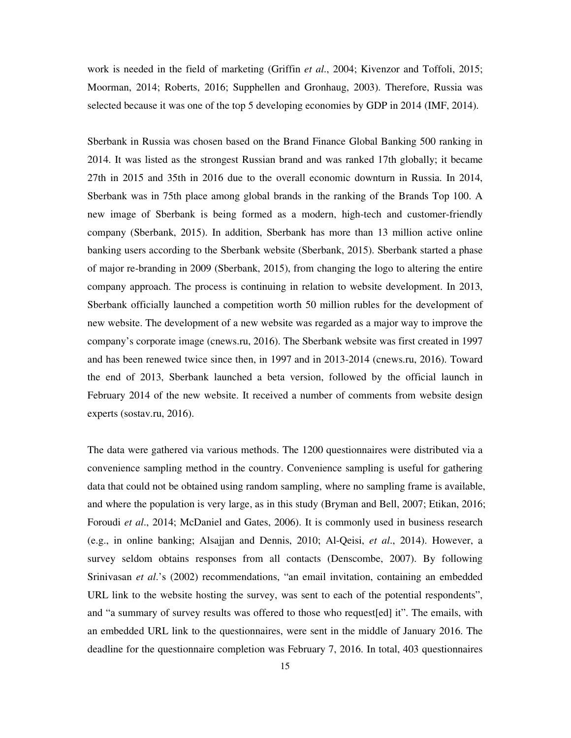work is needed in the field of marketing (Griffin *et al*., 2004; Kivenzor and Toffoli, 2015; Moorman, 2014; Roberts, 2016; Supphellen and Gronhaug, 2003). Therefore, Russia was selected because it was one of the top 5 developing economies by GDP in 2014 (IMF, 2014).

Sberbank in Russia was chosen based on the Brand Finance Global Banking 500 ranking in 2014. It was listed as the strongest Russian brand and was ranked 17th globally; it became 27th in 2015 and 35th in 2016 due to the overall economic downturn in Russia. In 2014, Sberbank was in 75th place among global brands in the ranking of the Brands Top 100. A new image of Sberbank is being formed as a modern, high-tech and customer-friendly company (Sberbank, 2015). In addition, Sberbank has more than 13 million active online banking users according to the Sberbank website (Sberbank, 2015). Sberbank started a phase of major re-branding in 2009 (Sberbank, 2015), from changing the logo to altering the entire company approach. The process is continuing in relation to website development. In 2013, Sberbank officially launched a competition worth 50 million rubles for the development of new website. The development of a new website was regarded as a major way to improve the company's corporate image (cnews.ru, 2016). The Sberbank website was first created in 1997 and has been renewed twice since then, in 1997 and in 2013-2014 (cnews.ru, 2016). Toward the end of 2013, Sberbank launched a beta version, followed by the official launch in February 2014 of the new website. It received a number of comments from website design experts (sostav.ru, 2016).

The data were gathered via various methods. The 1200 questionnaires were distributed via a convenience sampling method in the country. Convenience sampling is useful for gathering data that could not be obtained using random sampling, where no sampling frame is available, and where the population is very large, as in this study (Bryman and Bell, 2007; Etikan, 2016; Foroudi *et al*., 2014; McDaniel and Gates, 2006). It is commonly used in business research (e.g., in online banking; Alsajjan and Dennis, 2010; Al-Qeisi, *et al*., 2014). However, a survey seldom obtains responses from all contacts (Denscombe, 2007). By following Srinivasan *et al*.'s (2002) recommendations, "an email invitation, containing an embedded URL link to the website hosting the survey, was sent to each of the potential respondents", and "a summary of survey results was offered to those who request[ed] it". The emails, with an embedded URL link to the questionnaires, were sent in the middle of January 2016. The deadline for the questionnaire completion was February 7, 2016. In total, 403 questionnaires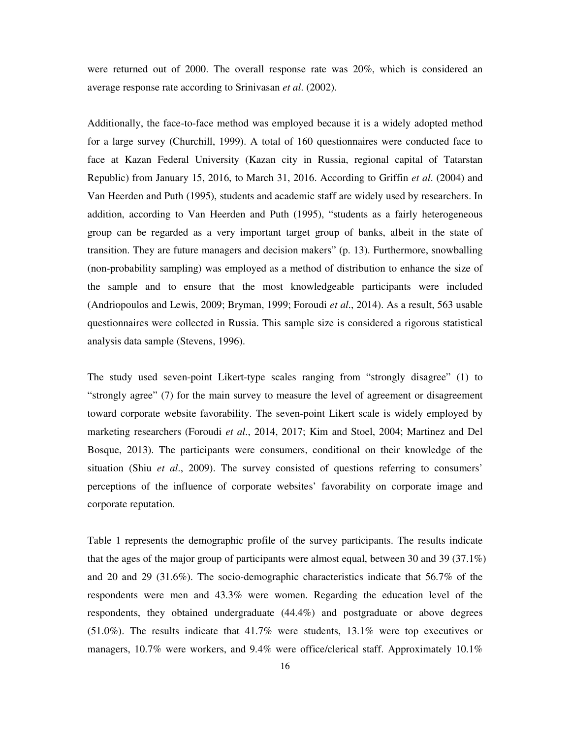were returned out of 2000. The overall response rate was 20%, which is considered an average response rate according to Srinivasan *et al*. (2002).

Additionally, the face-to-face method was employed because it is a widely adopted method for a large survey (Churchill, 1999). A total of 160 questionnaires were conducted face to face at Kazan Federal University (Kazan city in Russia, regional capital of Tatarstan Republic) from January 15, 2016, to March 31, 2016. According to Griffin *et al*. (2004) and Van Heerden and Puth (1995), students and academic staff are widely used by researchers. In addition, according to Van Heerden and Puth (1995), "students as a fairly heterogeneous group can be regarded as a very important target group of banks, albeit in the state of transition. They are future managers and decision makers" (p. 13). Furthermore, snowballing (non-probability sampling) was employed as a method of distribution to enhance the size of the sample and to ensure that the most knowledgeable participants were included (Andriopoulos and Lewis, 2009; Bryman, 1999; Foroudi *et al*., 2014). As a result, 563 usable questionnaires were collected in Russia. This sample size is considered a rigorous statistical analysis data sample (Stevens, 1996).

The study used seven-point Likert-type scales ranging from "strongly disagree" (1) to "strongly agree" (7) for the main survey to measure the level of agreement or disagreement toward corporate website favorability. The seven-point Likert scale is widely employed by marketing researchers (Foroudi *et al*., 2014, 2017; Kim and Stoel, 2004; Martinez and Del Bosque, 2013). The participants were consumers, conditional on their knowledge of the situation (Shiu *et al*., 2009). The survey consisted of questions referring to consumers' perceptions of the influence of corporate websites' favorability on corporate image and corporate reputation.

Table 1 represents the demographic profile of the survey participants. The results indicate that the ages of the major group of participants were almost equal, between 30 and 39 (37.1%) and 20 and 29 (31.6%). The socio-demographic characteristics indicate that 56.7% of the respondents were men and 43.3% were women. Regarding the education level of the respondents, they obtained undergraduate (44.4%) and postgraduate or above degrees (51.0%). The results indicate that 41.7% were students, 13.1% were top executives or managers, 10.7% were workers, and 9.4% were office/clerical staff. Approximately 10.1%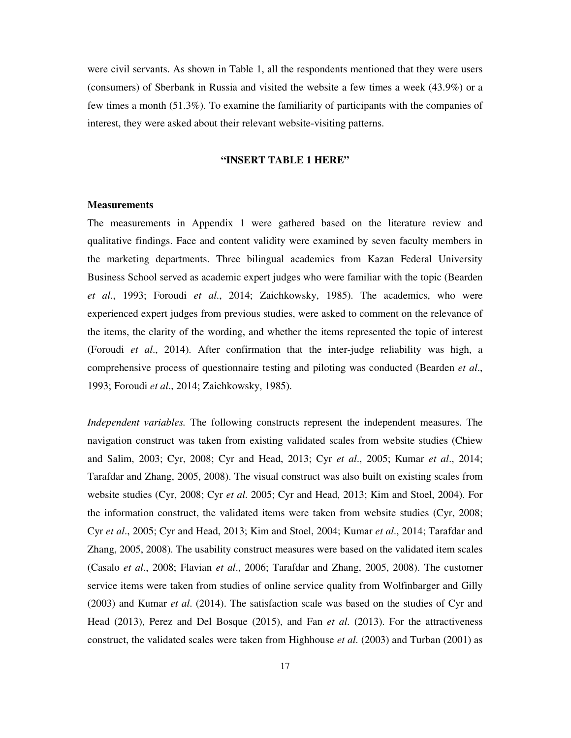were civil servants. As shown in Table 1, all the respondents mentioned that they were users (consumers) of Sberbank in Russia and visited the website a few times a week (43.9%) or a few times a month (51.3%). To examine the familiarity of participants with the companies of interest, they were asked about their relevant website-visiting patterns.

#### **"INSERT TABLE 1 HERE"**

#### **Measurements**

The measurements in Appendix 1 were gathered based on the literature review and qualitative findings. Face and content validity were examined by seven faculty members in the marketing departments. Three bilingual academics from Kazan Federal University Business School served as academic expert judges who were familiar with the topic (Bearden *et al*., 1993; Foroudi *et al*., 2014; Zaichkowsky, 1985). The academics, who were experienced expert judges from previous studies, were asked to comment on the relevance of the items, the clarity of the wording, and whether the items represented the topic of interest (Foroudi *et al*., 2014). After confirmation that the inter-judge reliability was high, a comprehensive process of questionnaire testing and piloting was conducted (Bearden *et al*., 1993; Foroudi *et al*., 2014; Zaichkowsky, 1985).

*Independent variables.* The following constructs represent the independent measures. The navigation construct was taken from existing validated scales from website studies (Chiew and Salim, 2003; Cyr, 2008; Cyr and Head, 2013; Cyr *et al*., 2005; Kumar *et al*., 2014; Tarafdar and Zhang, 2005, 2008). The visual construct was also built on existing scales from website studies (Cyr, 2008; Cyr *et al*. 2005; Cyr and Head, 2013; Kim and Stoel, 2004). For the information construct, the validated items were taken from website studies (Cyr, 2008; Cyr *et al*., 2005; Cyr and Head, 2013; Kim and Stoel, 2004; Kumar *et al*., 2014; Tarafdar and Zhang, 2005, 2008). The usability construct measures were based on the validated item scales (Casalo *et al*., 2008; Flavian *et al*., 2006; Tarafdar and Zhang, 2005, 2008). The customer service items were taken from studies of online service quality from Wolfinbarger and Gilly (2003) and Kumar *et al*. (2014). The satisfaction scale was based on the studies of Cyr and Head (2013), Perez and Del Bosque (2015), and Fan *et al*. (2013). For the attractiveness construct, the validated scales were taken from Highhouse *et al*. (2003) and Turban (2001) as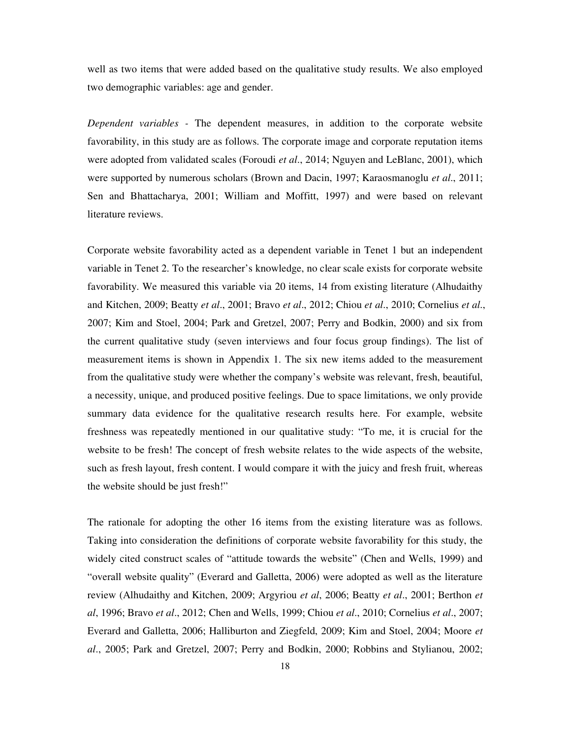well as two items that were added based on the qualitative study results. We also employed two demographic variables: age and gender.

*Dependent variables -* The dependent measures, in addition to the corporate website favorability, in this study are as follows. The corporate image and corporate reputation items were adopted from validated scales (Foroudi *et al*., 2014; Nguyen and LeBlanc, 2001), which were supported by numerous scholars (Brown and Dacin, 1997; Karaosmanoglu *et al*., 2011; Sen and Bhattacharya, 2001; William and Moffitt, 1997) and were based on relevant literature reviews.

Corporate website favorability acted as a dependent variable in Tenet 1 but an independent variable in Tenet 2. To the researcher's knowledge, no clear scale exists for corporate website favorability. We measured this variable via 20 items, 14 from existing literature (Alhudaithy and Kitchen, 2009; Beatty *et al*., 2001; Bravo *et al*., 2012; Chiou *et al*., 2010; Cornelius *et al*., 2007; Kim and Stoel, 2004; Park and Gretzel, 2007; Perry and Bodkin, 2000) and six from the current qualitative study (seven interviews and four focus group findings). The list of measurement items is shown in Appendix 1. The six new items added to the measurement from the qualitative study were whether the company's website was relevant, fresh, beautiful, a necessity, unique, and produced positive feelings. Due to space limitations, we only provide summary data evidence for the qualitative research results here. For example, website freshness was repeatedly mentioned in our qualitative study: "To me, it is crucial for the website to be fresh! The concept of fresh website relates to the wide aspects of the website, such as fresh layout, fresh content. I would compare it with the juicy and fresh fruit, whereas the website should be just fresh!"

The rationale for adopting the other 16 items from the existing literature was as follows. Taking into consideration the definitions of corporate website favorability for this study, the widely cited construct scales of "attitude towards the website" (Chen and Wells, 1999) and "overall website quality" (Everard and Galletta, 2006) were adopted as well as the literature review (Alhudaithy and Kitchen, 2009; Argyriou *et al*, 2006; Beatty *et al*., 2001; Berthon *et al*, 1996; Bravo *et al*., 2012; Chen and Wells, 1999; Chiou *et al*., 2010; Cornelius *et al*., 2007; Everard and Galletta, 2006; Halliburton and Ziegfeld, 2009; Kim and Stoel, 2004; Moore *et al*., 2005; Park and Gretzel, 2007; Perry and Bodkin, 2000; Robbins and Stylianou, 2002;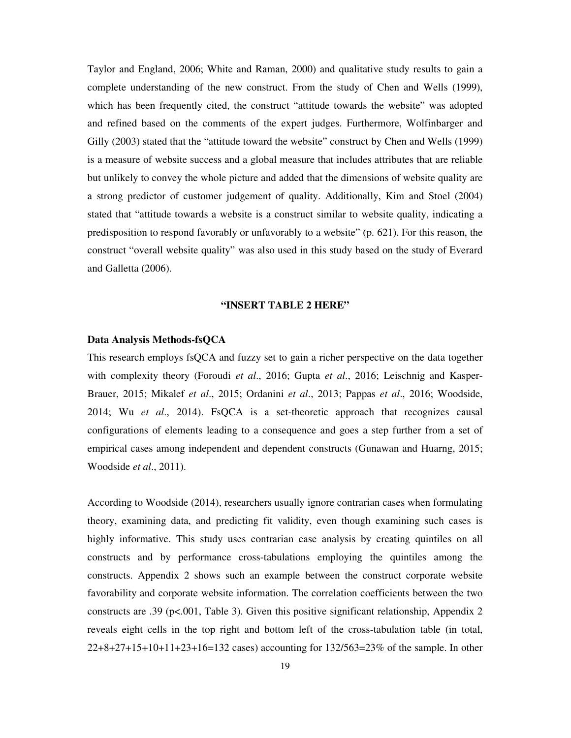Taylor and England, 2006; White and Raman, 2000) and qualitative study results to gain a complete understanding of the new construct. From the study of Chen and Wells (1999), which has been frequently cited, the construct "attitude towards the website" was adopted and refined based on the comments of the expert judges. Furthermore, Wolfinbarger and Gilly (2003) stated that the "attitude toward the website" construct by Chen and Wells (1999) is a measure of website success and a global measure that includes attributes that are reliable but unlikely to convey the whole picture and added that the dimensions of website quality are a strong predictor of customer judgement of quality. Additionally, Kim and Stoel (2004) stated that "attitude towards a website is a construct similar to website quality, indicating a predisposition to respond favorably or unfavorably to a website" (p. 621). For this reason, the construct "overall website quality" was also used in this study based on the study of Everard and Galletta (2006).

#### **"INSERT TABLE 2 HERE"**

#### **Data Analysis Methods-fsQCA**

This research employs fsQCA and fuzzy set to gain a richer perspective on the data together with complexity theory (Foroudi *et al*., 2016; Gupta *et al*., 2016; Leischnig and Kasper-Brauer, 2015; Mikalef *et al*., 2015; Ordanini *et al*., 2013; Pappas *et al*., 2016; Woodside, 2014; Wu *et al*., 2014). FsQCA is a set-theoretic approach that recognizes causal configurations of elements leading to a consequence and goes a step further from a set of empirical cases among independent and dependent constructs (Gunawan and Huarng, 2015; Woodside *et al*., 2011).

According to Woodside (2014), researchers usually ignore contrarian cases when formulating theory, examining data, and predicting fit validity, even though examining such cases is highly informative. This study uses contrarian case analysis by creating quintiles on all constructs and by performance cross-tabulations employing the quintiles among the constructs. Appendix 2 shows such an example between the construct corporate website favorability and corporate website information. The correlation coefficients between the two constructs are .39 (p<.001, Table 3). Given this positive significant relationship, Appendix 2 reveals eight cells in the top right and bottom left of the cross-tabulation table (in total, 22+8+27+15+10+11+23+16=132 cases) accounting for 132/563=23% of the sample. In other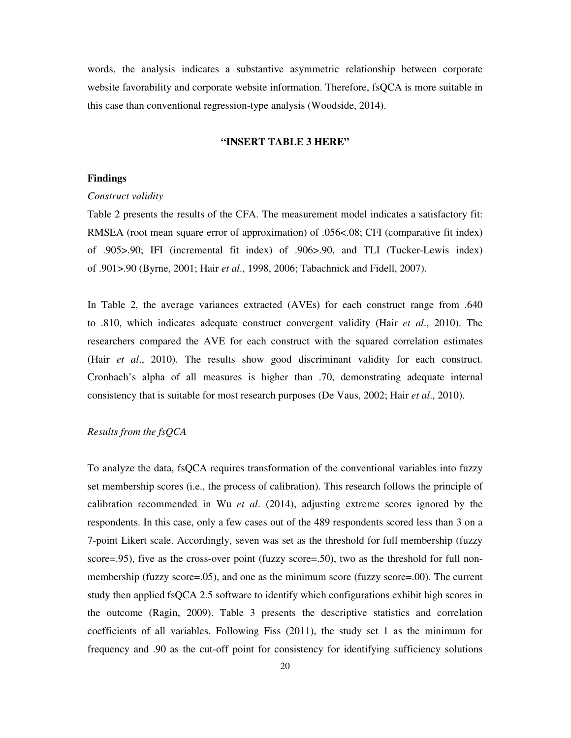words, the analysis indicates a substantive asymmetric relationship between corporate website favorability and corporate website information. Therefore, fsQCA is more suitable in this case than conventional regression-type analysis (Woodside, 2014).

#### **"INSERT TABLE 3 HERE"**

#### **Findings**

#### *Construct validity*

Table 2 presents the results of the CFA. The measurement model indicates a satisfactory fit: RMSEA (root mean square error of approximation) of .056<.08; CFI (comparative fit index) of .905>.90; IFI (incremental fit index) of .906>.90, and TLI (Tucker-Lewis index) of .901>.90 (Byrne, 2001; Hair *et al*., 1998, 2006; Tabachnick and Fidell, 2007).

In Table 2, the average variances extracted (AVEs) for each construct range from .640 to .810, which indicates adequate construct convergent validity (Hair *et al*., 2010). The researchers compared the AVE for each construct with the squared correlation estimates (Hair *et al*., 2010). The results show good discriminant validity for each construct. Cronbach's alpha of all measures is higher than .70, demonstrating adequate internal consistency that is suitable for most research purposes (De Vaus, 2002; Hair *et al*., 2010).

#### *Results from the fsQCA*

To analyze the data, fsQCA requires transformation of the conventional variables into fuzzy set membership scores (i.e., the process of calibration). This research follows the principle of calibration recommended in Wu *et al*. (2014), adjusting extreme scores ignored by the respondents. In this case, only a few cases out of the 489 respondents scored less than 3 on a 7-point Likert scale. Accordingly, seven was set as the threshold for full membership (fuzzy score=.95), five as the cross-over point (fuzzy score=.50), two as the threshold for full nonmembership (fuzzy score=.05), and one as the minimum score (fuzzy score=.00). The current study then applied fsQCA 2.5 software to identify which configurations exhibit high scores in the outcome (Ragin, 2009). Table 3 presents the descriptive statistics and correlation coefficients of all variables. Following Fiss (2011), the study set 1 as the minimum for frequency and .90 as the cut-off point for consistency for identifying sufficiency solutions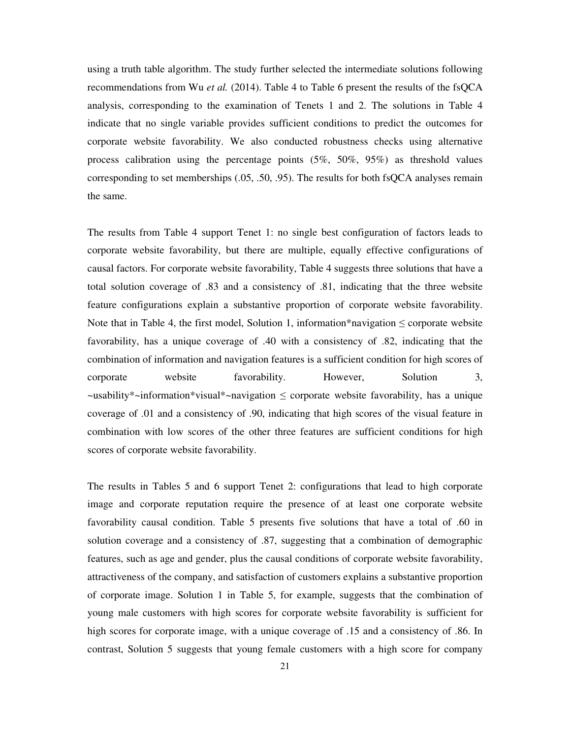using a truth table algorithm. The study further selected the intermediate solutions following recommendations from Wu *et al.* (2014). Table 4 to Table 6 present the results of the fsQCA analysis, corresponding to the examination of Tenets 1 and 2. The solutions in Table 4 indicate that no single variable provides sufficient conditions to predict the outcomes for corporate website favorability. We also conducted robustness checks using alternative process calibration using the percentage points (5%, 50%, 95%) as threshold values corresponding to set memberships (.05, .50, .95). The results for both fsQCA analyses remain the same.

The results from Table 4 support Tenet 1: no single best configuration of factors leads to corporate website favorability, but there are multiple, equally effective configurations of causal factors. For corporate website favorability, Table 4 suggests three solutions that have a total solution coverage of .83 and a consistency of .81, indicating that the three website feature configurations explain a substantive proportion of corporate website favorability. Note that in Table 4, the first model, Solution 1, information\*navigation  $\leq$  corporate website favorability, has a unique coverage of .40 with a consistency of .82, indicating that the combination of information and navigation features is a sufficient condition for high scores of corporate website favorability. However, Solution 3, ~usability\*~information\*visual\*~navigation ≤ corporate website favorability, has a unique coverage of .01 and a consistency of .90, indicating that high scores of the visual feature in combination with low scores of the other three features are sufficient conditions for high scores of corporate website favorability.

The results in Tables 5 and 6 support Tenet 2: configurations that lead to high corporate image and corporate reputation require the presence of at least one corporate website favorability causal condition. Table 5 presents five solutions that have a total of .60 in solution coverage and a consistency of .87, suggesting that a combination of demographic features, such as age and gender, plus the causal conditions of corporate website favorability, attractiveness of the company, and satisfaction of customers explains a substantive proportion of corporate image. Solution 1 in Table 5, for example, suggests that the combination of young male customers with high scores for corporate website favorability is sufficient for high scores for corporate image, with a unique coverage of .15 and a consistency of .86. In contrast, Solution 5 suggests that young female customers with a high score for company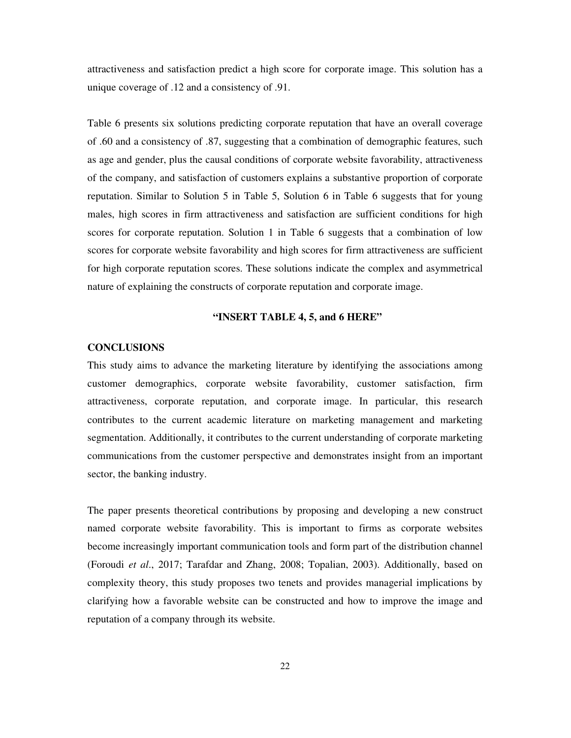attractiveness and satisfaction predict a high score for corporate image. This solution has a unique coverage of .12 and a consistency of .91.

Table 6 presents six solutions predicting corporate reputation that have an overall coverage of .60 and a consistency of .87, suggesting that a combination of demographic features, such as age and gender, plus the causal conditions of corporate website favorability, attractiveness of the company, and satisfaction of customers explains a substantive proportion of corporate reputation. Similar to Solution 5 in Table 5, Solution 6 in Table 6 suggests that for young males, high scores in firm attractiveness and satisfaction are sufficient conditions for high scores for corporate reputation. Solution 1 in Table 6 suggests that a combination of low scores for corporate website favorability and high scores for firm attractiveness are sufficient for high corporate reputation scores. These solutions indicate the complex and asymmetrical nature of explaining the constructs of corporate reputation and corporate image.

#### **"INSERT TABLE 4, 5, and 6 HERE"**

#### **CONCLUSIONS**

This study aims to advance the marketing literature by identifying the associations among customer demographics, corporate website favorability, customer satisfaction, firm attractiveness, corporate reputation, and corporate image. In particular, this research contributes to the current academic literature on marketing management and marketing segmentation. Additionally, it contributes to the current understanding of corporate marketing communications from the customer perspective and demonstrates insight from an important sector, the banking industry.

The paper presents theoretical contributions by proposing and developing a new construct named corporate website favorability. This is important to firms as corporate websites become increasingly important communication tools and form part of the distribution channel (Foroudi *et al*., 2017; Tarafdar and Zhang, 2008; Topalian, 2003). Additionally, based on complexity theory, this study proposes two tenets and provides managerial implications by clarifying how a favorable website can be constructed and how to improve the image and reputation of a company through its website.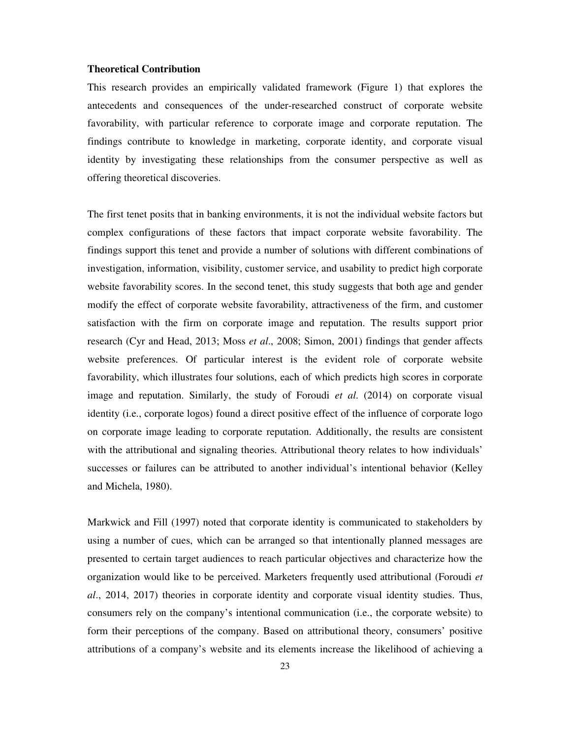#### **Theoretical Contribution**

This research provides an empirically validated framework (Figure 1) that explores the antecedents and consequences of the under-researched construct of corporate website favorability, with particular reference to corporate image and corporate reputation. The findings contribute to knowledge in marketing, corporate identity, and corporate visual identity by investigating these relationships from the consumer perspective as well as offering theoretical discoveries.

The first tenet posits that in banking environments, it is not the individual website factors but complex configurations of these factors that impact corporate website favorability. The findings support this tenet and provide a number of solutions with different combinations of investigation, information, visibility, customer service, and usability to predict high corporate website favorability scores. In the second tenet, this study suggests that both age and gender modify the effect of corporate website favorability, attractiveness of the firm, and customer satisfaction with the firm on corporate image and reputation. The results support prior research (Cyr and Head, 2013; Moss *et al*., 2008; Simon, 2001) findings that gender affects website preferences. Of particular interest is the evident role of corporate website favorability, which illustrates four solutions, each of which predicts high scores in corporate image and reputation. Similarly, the study of Foroudi *et al*. (2014) on corporate visual identity (i.e., corporate logos) found a direct positive effect of the influence of corporate logo on corporate image leading to corporate reputation. Additionally, the results are consistent with the attributional and signaling theories. Attributional theory relates to how individuals' successes or failures can be attributed to another individual's intentional behavior (Kelley and Michela, 1980).

Markwick and Fill (1997) noted that corporate identity is communicated to stakeholders by using a number of cues, which can be arranged so that intentionally planned messages are presented to certain target audiences to reach particular objectives and characterize how the organization would like to be perceived. Marketers frequently used attributional (Foroudi *et al*., 2014, 2017) theories in corporate identity and corporate visual identity studies. Thus, consumers rely on the company's intentional communication (i.e., the corporate website) to form their perceptions of the company. Based on attributional theory, consumers' positive attributions of a company's website and its elements increase the likelihood of achieving a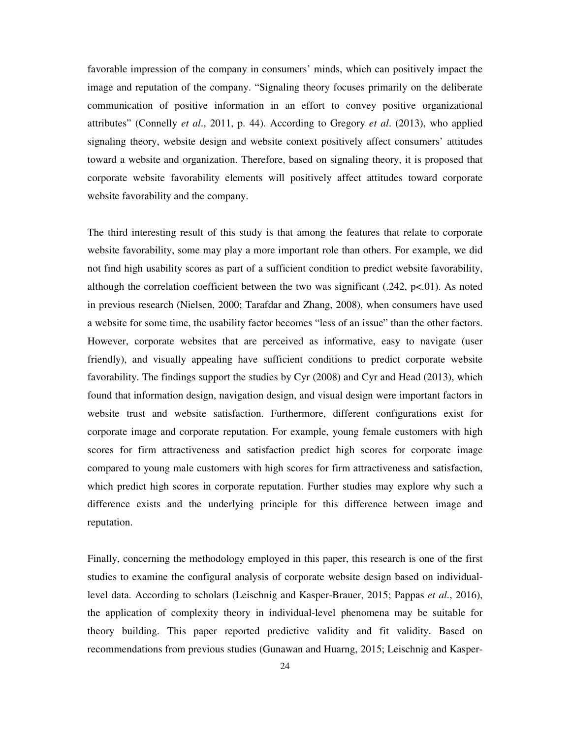favorable impression of the company in consumers' minds, which can positively impact the image and reputation of the company. "Signaling theory focuses primarily on the deliberate communication of positive information in an effort to convey positive organizational attributes" (Connelly *et al*., 2011, p. 44). According to Gregory *et al*. (2013), who applied signaling theory, website design and website context positively affect consumers' attitudes toward a website and organization. Therefore, based on signaling theory, it is proposed that corporate website favorability elements will positively affect attitudes toward corporate website favorability and the company.

The third interesting result of this study is that among the features that relate to corporate website favorability, some may play a more important role than others. For example, we did not find high usability scores as part of a sufficient condition to predict website favorability, although the correlation coefficient between the two was significant  $(.242, p<.01)$ . As noted in previous research (Nielsen, 2000; Tarafdar and Zhang, 2008), when consumers have used a website for some time, the usability factor becomes "less of an issue" than the other factors. However, corporate websites that are perceived as informative, easy to navigate (user friendly), and visually appealing have sufficient conditions to predict corporate website favorability. The findings support the studies by Cyr (2008) and Cyr and Head (2013), which found that information design, navigation design, and visual design were important factors in website trust and website satisfaction. Furthermore, different configurations exist for corporate image and corporate reputation. For example, young female customers with high scores for firm attractiveness and satisfaction predict high scores for corporate image compared to young male customers with high scores for firm attractiveness and satisfaction, which predict high scores in corporate reputation. Further studies may explore why such a difference exists and the underlying principle for this difference between image and reputation.

Finally, concerning the methodology employed in this paper, this research is one of the first studies to examine the configural analysis of corporate website design based on individuallevel data. According to scholars (Leischnig and Kasper-Brauer, 2015; Pappas *et al*., 2016), the application of complexity theory in individual-level phenomena may be suitable for theory building. This paper reported predictive validity and fit validity. Based on recommendations from previous studies (Gunawan and Huarng, 2015; Leischnig and Kasper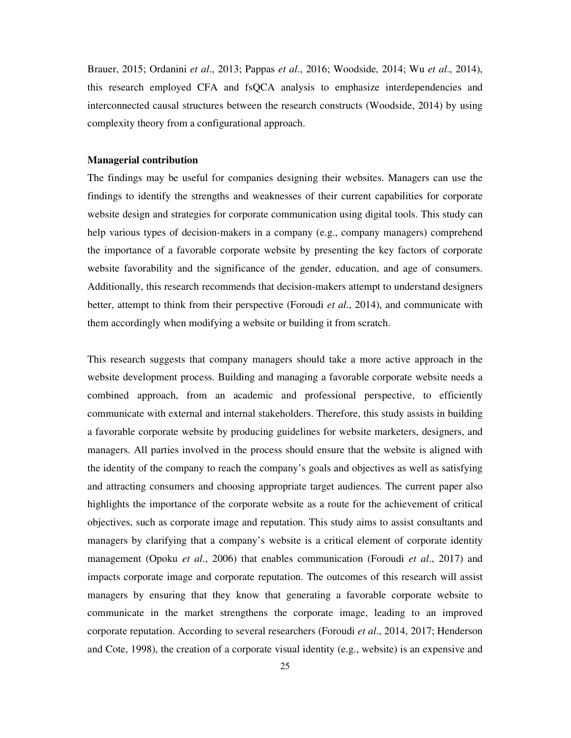Brauer, 2015; Ordanini *et al*., 2013; Pappas *et al*., 2016; Woodside, 2014; Wu *et al*., 2014), this research employed CFA and fsQCA analysis to emphasize interdependencies and interconnected causal structures between the research constructs (Woodside, 2014) by using complexity theory from a configurational approach.

#### **Managerial contribution**

The findings may be useful for companies designing their websites. Managers can use the findings to identify the strengths and weaknesses of their current capabilities for corporate website design and strategies for corporate communication using digital tools. This study can help various types of decision-makers in a company (e.g., company managers) comprehend the importance of a favorable corporate website by presenting the key factors of corporate website favorability and the significance of the gender, education, and age of consumers. Additionally, this research recommends that decision-makers attempt to understand designers better, attempt to think from their perspective (Foroudi *et al*., 2014), and communicate with them accordingly when modifying a website or building it from scratch.

This research suggests that company managers should take a more active approach in the website development process. Building and managing a favorable corporate website needs a combined approach, from an academic and professional perspective, to efficiently communicate with external and internal stakeholders. Therefore, this study assists in building a favorable corporate website by producing guidelines for website marketers, designers, and managers. All parties involved in the process should ensure that the website is aligned with the identity of the company to reach the company's goals and objectives as well as satisfying and attracting consumers and choosing appropriate target audiences. The current paper also highlights the importance of the corporate website as a route for the achievement of critical objectives, such as corporate image and reputation. This study aims to assist consultants and managers by clarifying that a company's website is a critical element of corporate identity management (Opoku *et al*., 2006) that enables communication (Foroudi *et al*., 2017) and impacts corporate image and corporate reputation. The outcomes of this research will assist managers by ensuring that they know that generating a favorable corporate website to communicate in the market strengthens the corporate image, leading to an improved corporate reputation. According to several researchers (Foroudi *et al*., 2014, 2017; Henderson and Cote, 1998), the creation of a corporate visual identity (e.g., website) is an expensive and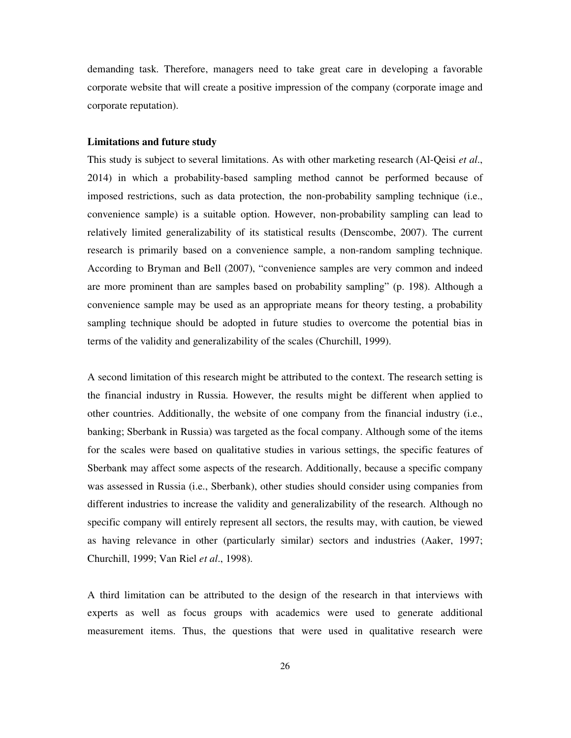demanding task. Therefore, managers need to take great care in developing a favorable corporate website that will create a positive impression of the company (corporate image and corporate reputation).

#### **Limitations and future study**

This study is subject to several limitations. As with other marketing research (Al-Qeisi *et al*., 2014) in which a probability-based sampling method cannot be performed because of imposed restrictions, such as data protection, the non-probability sampling technique (i.e., convenience sample) is a suitable option. However, non-probability sampling can lead to relatively limited generalizability of its statistical results (Denscombe, 2007). The current research is primarily based on a convenience sample, a non-random sampling technique. According to Bryman and Bell (2007), "convenience samples are very common and indeed are more prominent than are samples based on probability sampling" (p. 198). Although a convenience sample may be used as an appropriate means for theory testing, a probability sampling technique should be adopted in future studies to overcome the potential bias in terms of the validity and generalizability of the scales (Churchill, 1999).

A second limitation of this research might be attributed to the context. The research setting is the financial industry in Russia. However, the results might be different when applied to other countries. Additionally, the website of one company from the financial industry (i.e., banking; Sberbank in Russia) was targeted as the focal company. Although some of the items for the scales were based on qualitative studies in various settings, the specific features of Sberbank may affect some aspects of the research. Additionally, because a specific company was assessed in Russia (i.e., Sberbank), other studies should consider using companies from different industries to increase the validity and generalizability of the research. Although no specific company will entirely represent all sectors, the results may, with caution, be viewed as having relevance in other (particularly similar) sectors and industries (Aaker, 1997; Churchill, 1999; Van Riel *et al*., 1998).

A third limitation can be attributed to the design of the research in that interviews with experts as well as focus groups with academics were used to generate additional measurement items. Thus, the questions that were used in qualitative research were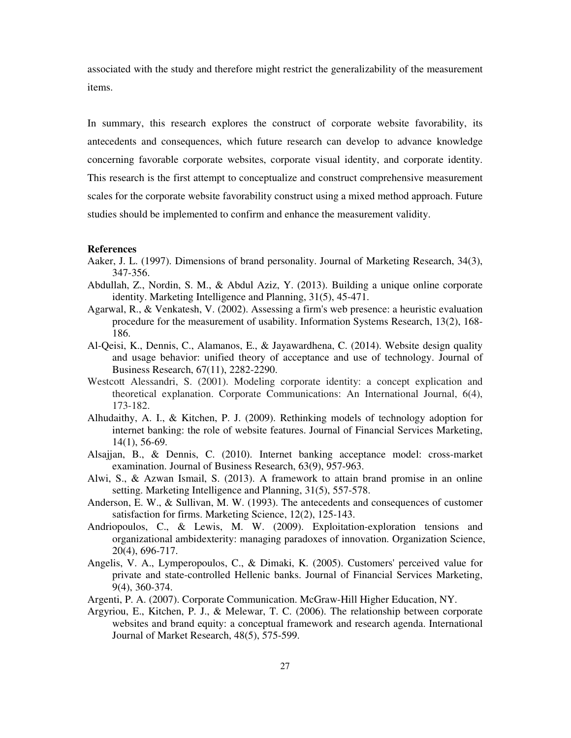associated with the study and therefore might restrict the generalizability of the measurement items.

In summary, this research explores the construct of corporate website favorability, its antecedents and consequences, which future research can develop to advance knowledge concerning favorable corporate websites, corporate visual identity, and corporate identity. This research is the first attempt to conceptualize and construct comprehensive measurement scales for the corporate website favorability construct using a mixed method approach. Future studies should be implemented to confirm and enhance the measurement validity.

#### **References**

- Aaker, J. L. (1997). Dimensions of brand personality. Journal of Marketing Research, 34(3), 347-356.
- Abdullah, Z., Nordin, S. M., & Abdul Aziz, Y. (2013). Building a unique online corporate identity. Marketing Intelligence and Planning, 31(5), 45-471.
- Agarwal, R., & Venkatesh, V. (2002). Assessing a firm's web presence: a heuristic evaluation procedure for the measurement of usability. Information Systems Research, 13(2), 168- 186.
- Al-Qeisi, K., Dennis, C., Alamanos, E., & Jayawardhena, C. (2014). Website design quality and usage behavior: unified theory of acceptance and use of technology. Journal of Business Research, 67(11), 2282-2290.
- Westcott Alessandri, S. (2001). Modeling corporate identity: a concept explication and theoretical explanation. Corporate Communications: An International Journal, 6(4), 173-182.
- Alhudaithy, A. I., & Kitchen, P. J. (2009). Rethinking models of technology adoption for internet banking: the role of website features. Journal of Financial Services Marketing, 14(1), 56-69.
- Alsajjan, B., & Dennis, C. (2010). Internet banking acceptance model: cross-market examination. Journal of Business Research, 63(9), 957-963.
- Alwi, S., & Azwan Ismail, S. (2013). A framework to attain brand promise in an online setting. Marketing Intelligence and Planning, 31(5), 557-578.
- Anderson, E. W., & Sullivan, M. W. (1993). The antecedents and consequences of customer satisfaction for firms. Marketing Science, 12(2), 125-143.
- Andriopoulos, C., & Lewis, M. W. (2009). Exploitation-exploration tensions and organizational ambidexterity: managing paradoxes of innovation. Organization Science, 20(4), 696-717.
- Angelis, V. A., Lymperopoulos, C., & Dimaki, K. (2005). Customers' perceived value for private and state-controlled Hellenic banks. Journal of Financial Services Marketing, 9(4), 360-374.
- Argenti, P. A. (2007). Corporate Communication. McGraw-Hill Higher Education, NY.
- Argyriou, E., Kitchen, P. J., & Melewar, T. C. (2006). The relationship between corporate websites and brand equity: a conceptual framework and research agenda. International Journal of Market Research, 48(5), 575-599.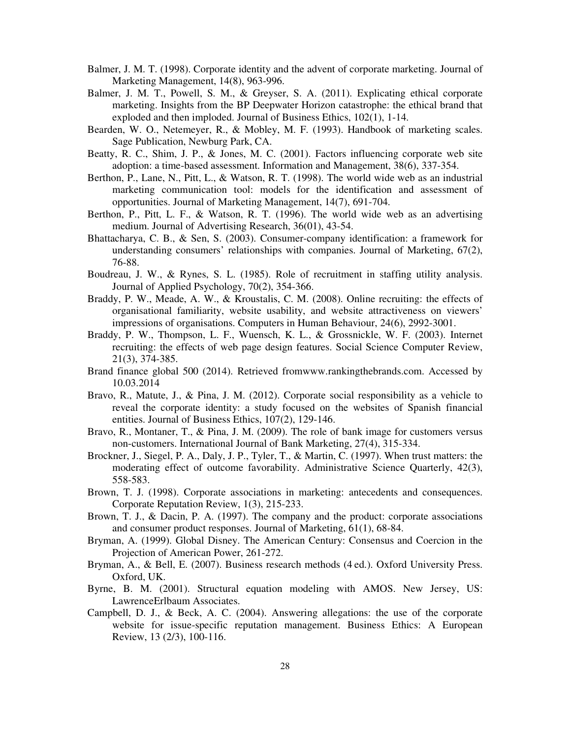- Balmer, J. M. T. (1998). Corporate identity and the advent of corporate marketing. Journal of Marketing Management, 14(8), 963-996.
- Balmer, J. M. T., Powell, S. M., & Greyser, S. A. (2011). Explicating ethical corporate marketing. Insights from the BP Deepwater Horizon catastrophe: the ethical brand that exploded and then imploded. Journal of Business Ethics, 102(1), 1-14.
- Bearden, W. O., Netemeyer, R., & Mobley, M. F. (1993). Handbook of marketing scales. Sage Publication, Newburg Park, CA.
- Beatty, R. C., Shim, J. P., & Jones, M. C. (2001). Factors influencing corporate web site adoption: a time-based assessment. Information and Management, 38(6), 337-354.
- Berthon, P., Lane, N., Pitt, L., & Watson, R. T. (1998). The world wide web as an industrial marketing communication tool: models for the identification and assessment of opportunities. Journal of Marketing Management, 14(7), 691-704.
- Berthon, P., Pitt, L. F., & Watson, R. T. (1996). The world wide web as an advertising medium. Journal of Advertising Research, 36(01), 43-54.
- Bhattacharya, C. B., & Sen, S. (2003). Consumer-company identification: a framework for understanding consumers' relationships with companies. Journal of Marketing, 67(2), 76-88.
- Boudreau, J. W., & Rynes, S. L. (1985). Role of recruitment in staffing utility analysis. Journal of Applied Psychology, 70(2), 354-366.
- Braddy, P. W., Meade, A. W., & Kroustalis, C. M. (2008). Online recruiting: the effects of organisational familiarity, website usability, and website attractiveness on viewers' impressions of organisations. Computers in Human Behaviour, 24(6), 2992-3001.
- Braddy, P. W., Thompson, L. F., Wuensch, K. L., & Grossnickle, W. F. (2003). Internet recruiting: the effects of web page design features. Social Science Computer Review, 21(3), 374-385.
- Brand finance global 500 (2014). Retrieved fromwww.rankingthebrands.com. Accessed by 10.03.2014
- Bravo, R., Matute, J., & Pina, J. M. (2012). Corporate social responsibility as a vehicle to reveal the corporate identity: a study focused on the websites of Spanish financial entities. Journal of Business Ethics, 107(2), 129-146.
- Bravo, R., Montaner, T., & Pina, J. M. (2009). The role of bank image for customers versus non-customers. International Journal of Bank Marketing, 27(4), 315-334.
- Brockner, J., Siegel, P. A., Daly, J. P., Tyler, T., & Martin, C. (1997). When trust matters: the moderating effect of outcome favorability. Administrative Science Quarterly, 42(3), 558-583.
- Brown, T. J. (1998). Corporate associations in marketing: antecedents and consequences. Corporate Reputation Review, 1(3), 215-233.
- Brown, T. J., & Dacin, P. A. (1997). The company and the product: corporate associations and consumer product responses. Journal of Marketing, 61(1), 68-84.
- Bryman, A. (1999). Global Disney. The American Century: Consensus and Coercion in the Projection of American Power, 261-272.
- Bryman, A., & Bell, E. (2007). Business research methods (4 ed.). Oxford University Press. Oxford, UK.
- Byrne, B. M. (2001). Structural equation modeling with AMOS. New Jersey, US: LawrenceErlbaum Associates.
- Campbell, D. J., & Beck, A. C. (2004). Answering allegations: the use of the corporate website for issue-specific reputation management. Business Ethics: A European Review, 13 (2/3), 100-116.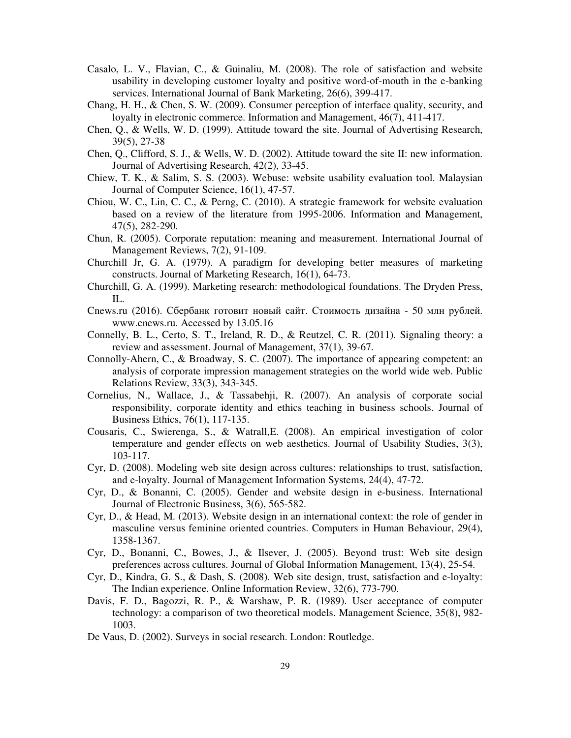- Casalo, L. V., Flavian, C., & Guinaliu, M. (2008). The role of satisfaction and website usability in developing customer loyalty and positive word-of-mouth in the e-banking services. International Journal of Bank Marketing, 26(6), 399-417.
- Chang, H. H., & Chen, S. W. (2009). Consumer perception of interface quality, security, and loyalty in electronic commerce. Information and Management, 46(7), 411-417.
- Chen, Q., & Wells, W. D. (1999). Attitude toward the site. Journal of Advertising Research, 39(5), 27-38
- Chen, Q., Clifford, S. J., & Wells, W. D. (2002). Attitude toward the site II: new information. Journal of Advertising Research, 42(2), 33-45.
- Chiew, T. K., & Salim, S. S. (2003). Webuse: website usability evaluation tool. Malaysian Journal of Computer Science, 16(1), 47-57.
- Chiou, W. C., Lin, C. C., & Perng, C. (2010). A strategic framework for website evaluation based on a review of the literature from 1995-2006. Information and Management, 47(5), 282-290.
- Chun, R. (2005). Corporate reputation: meaning and measurement. International Journal of Management Reviews, 7(2), 91-109.
- Churchill Jr, G. A. (1979). A paradigm for developing better measures of marketing constructs. Journal of Marketing Research, 16(1), 64-73.
- Churchill, G. A. (1999). Marketing research: methodological foundations. The Dryden Press, IL.
- Cnews.ru (2016). Сбербанк готовит новый сайт. Стоимость дизайна 50 млн рублей. www.cnews.ru. Accessed by 13.05.16
- Connelly, B. L., Certo, S. T., Ireland, R. D., & Reutzel, C. R. (2011). Signaling theory: a review and assessment. Journal of Management, 37(1), 39-67.
- Connolly-Ahern, C., & Broadway, S. C. (2007). The importance of appearing competent: an analysis of corporate impression management strategies on the world wide web. Public Relations Review, 33(3), 343-345.
- Cornelius, N., Wallace, J., & Tassabehji, R. (2007). An analysis of corporate social responsibility, corporate identity and ethics teaching in business schools. Journal of Business Ethics, 76(1), 117-135.
- Cousaris, C., Swierenga, S., & Watrall,E. (2008). An empirical investigation of color temperature and gender effects on web aesthetics. Journal of Usability Studies, 3(3), 103-117.
- Cyr, D. (2008). Modeling web site design across cultures: relationships to trust, satisfaction, and e-loyalty. Journal of Management Information Systems, 24(4), 47-72.
- Cyr, D., & Bonanni, C. (2005). Gender and website design in e-business. International Journal of Electronic Business, 3(6), 565-582.
- Cyr, D., & Head, M. (2013). Website design in an international context: the role of gender in masculine versus feminine oriented countries. Computers in Human Behaviour, 29(4), 1358-1367.
- Cyr, D., Bonanni, C., Bowes, J., & Ilsever, J. (2005). Beyond trust: Web site design preferences across cultures. Journal of Global Information Management, 13(4), 25-54.
- Cyr, D., Kindra, G. S., & Dash, S. (2008). Web site design, trust, satisfaction and e-loyalty: The Indian experience. Online Information Review, 32(6), 773-790.
- Davis, F. D., Bagozzi, R. P., & Warshaw, P. R. (1989). User acceptance of computer technology: a comparison of two theoretical models. Management Science, 35(8), 982- 1003.
- De Vaus, D. (2002). Surveys in social research. London: Routledge.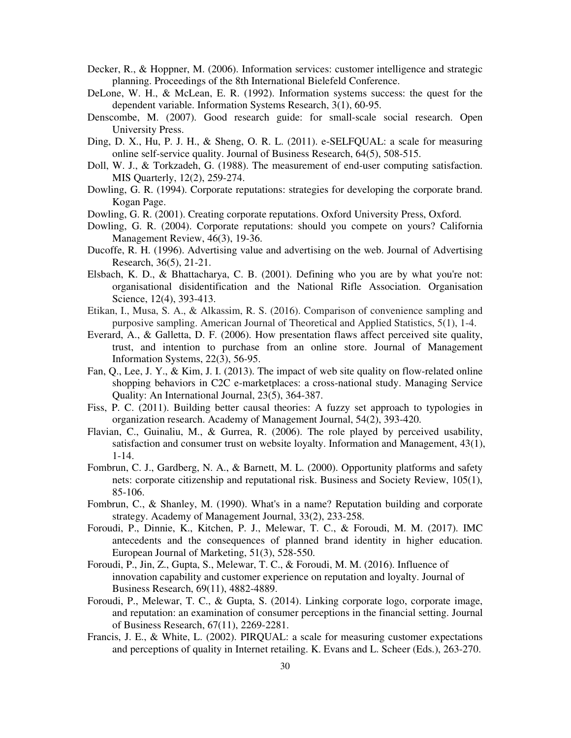- Decker, R., & Hoppner, M. (2006). Information services: customer intelligence and strategic planning. Proceedings of the 8th International Bielefeld Conference.
- DeLone, W. H., & McLean, E. R. (1992). Information systems success: the quest for the dependent variable. Information Systems Research, 3(1), 60-95.
- Denscombe, M. (2007). Good research guide: for small-scale social research. Open University Press.
- Ding, D. X., Hu, P. J. H., & Sheng, O. R. L. (2011). e-SELFQUAL: a scale for measuring online self-service quality. Journal of Business Research, 64(5), 508-515.
- Doll, W. J., & Torkzadeh, G. (1988). The measurement of end-user computing satisfaction. MIS Quarterly, 12(2), 259-274.
- Dowling, G. R. (1994). Corporate reputations: strategies for developing the corporate brand. Kogan Page.
- Dowling, G. R. (2001). Creating corporate reputations. Oxford University Press, Oxford.
- Dowling, G. R. (2004). Corporate reputations: should you compete on yours? California Management Review, 46(3), 19-36.
- Ducoffe, R. H. (1996). Advertising value and advertising on the web. Journal of Advertising Research, 36(5), 21-21.
- Elsbach, K. D., & Bhattacharya, C. B. (2001). Defining who you are by what you're not: organisational disidentification and the National Rifle Association. Organisation Science, 12(4), 393-413.
- Etikan, I., Musa, S. A., & Alkassim, R. S. (2016). Comparison of convenience sampling and purposive sampling. American Journal of Theoretical and Applied Statistics, 5(1), 1-4.
- Everard, A., & Galletta, D. F. (2006). How presentation flaws affect perceived site quality, trust, and intention to purchase from an online store. Journal of Management Information Systems, 22(3), 56-95.
- Fan, Q., Lee, J. Y., & Kim, J. I. (2013). The impact of web site quality on flow-related online shopping behaviors in C2C e-marketplaces: a cross-national study. Managing Service Quality: An International Journal, 23(5), 364-387.
- Fiss, P. C. (2011). Building better causal theories: A fuzzy set approach to typologies in organization research. Academy of Management Journal, 54(2), 393-420.
- Flavian, C., Guinaliu, M., & Gurrea, R. (2006). The role played by perceived usability, satisfaction and consumer trust on website loyalty. Information and Management, 43(1), 1-14.
- Fombrun, C. J., Gardberg, N. A., & Barnett, M. L. (2000). Opportunity platforms and safety nets: corporate citizenship and reputational risk. Business and Society Review, 105(1), 85-106.
- Fombrun, C., & Shanley, M. (1990). What's in a name? Reputation building and corporate strategy. Academy of Management Journal, 33(2), 233-258.
- Foroudi, P., Dinnie, K., Kitchen, P. J., Melewar, T. C., & Foroudi, M. M. (2017). IMC antecedents and the consequences of planned brand identity in higher education. European Journal of Marketing, 51(3), 528-550.
- Foroudi, P., Jin, Z., Gupta, S., Melewar, T. C., & Foroudi, M. M. (2016). Influence of innovation capability and customer experience on reputation and loyalty. Journal of Business Research, 69(11), 4882-4889.
- Foroudi, P., Melewar, T. C., & Gupta, S. (2014). Linking corporate logo, corporate image, and reputation: an examination of consumer perceptions in the financial setting. Journal of Business Research, 67(11), 2269-2281.
- Francis, J. E., & White, L. (2002). PIRQUAL: a scale for measuring customer expectations and perceptions of quality in Internet retailing. K. Evans and L. Scheer (Eds.), 263-270.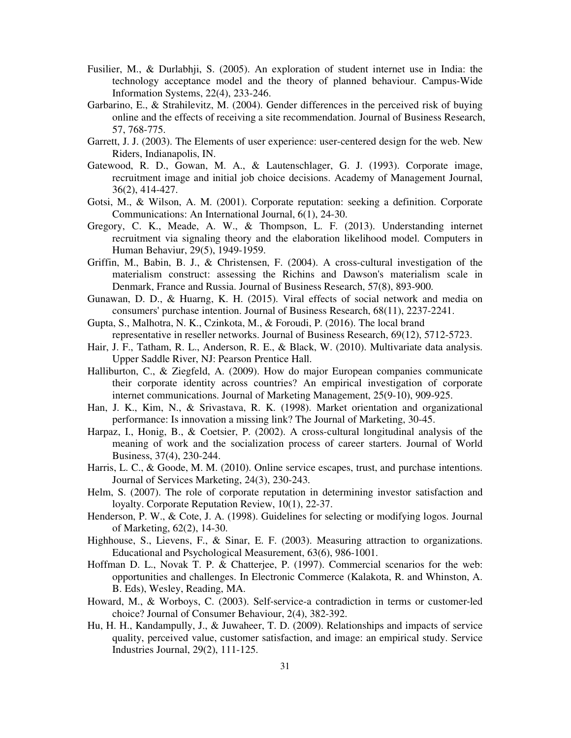- Fusilier, M., & Durlabhji, S. (2005). An exploration of student internet use in India: the technology acceptance model and the theory of planned behaviour. Campus-Wide Information Systems, 22(4), 233-246.
- Garbarino, E., & Strahilevitz, M. (2004). Gender differences in the perceived risk of buying online and the effects of receiving a site recommendation. Journal of Business Research, 57, 768-775.
- Garrett, J. J. (2003). The Elements of user experience: user-centered design for the web. New Riders, Indianapolis, IN.
- Gatewood, R. D., Gowan, M. A., & Lautenschlager, G. J. (1993). Corporate image, recruitment image and initial job choice decisions. Academy of Management Journal, 36(2), 414-427.
- Gotsi, M., & Wilson, A. M. (2001). Corporate reputation: seeking a definition. Corporate Communications: An International Journal, 6(1), 24-30.
- Gregory, C. K., Meade, A. W., & Thompson, L. F. (2013). Understanding internet recruitment via signaling theory and the elaboration likelihood model. Computers in Human Behaviur, 29(5), 1949-1959.
- Griffin, M., Babin, B. J., & Christensen, F. (2004). A cross-cultural investigation of the materialism construct: assessing the Richins and Dawson's materialism scale in Denmark, France and Russia. Journal of Business Research, 57(8), 893-900.
- Gunawan, D. D., & Huarng, K. H. (2015). Viral effects of social network and media on consumers' purchase intention. Journal of Business Research, 68(11), 2237-2241.
- Gupta, S., Malhotra, N. K., Czinkota, M., & Foroudi, P. (2016). The local brand representative in reseller networks. Journal of Business Research, 69(12), 5712-5723.
- Hair, J. F., Tatham, R. L., Anderson, R. E., & Black, W. (2010). Multivariate data analysis. Upper Saddle River, NJ: Pearson Prentice Hall.
- Halliburton, C., & Ziegfeld, A. (2009). How do major European companies communicate their corporate identity across countries? An empirical investigation of corporate internet communications. Journal of Marketing Management, 25(9-10), 909-925.
- Han, J. K., Kim, N., & Srivastava, R. K. (1998). Market orientation and organizational performance: Is innovation a missing link? The Journal of Marketing, 30-45.
- Harpaz, I., Honig, B., & Coetsier, P. (2002). A cross-cultural longitudinal analysis of the meaning of work and the socialization process of career starters. Journal of World Business, 37(4), 230-244.
- Harris, L. C., & Goode, M. M. (2010). Online service escapes, trust, and purchase intentions. Journal of Services Marketing, 24(3), 230-243.
- Helm, S. (2007). The role of corporate reputation in determining investor satisfaction and loyalty. Corporate Reputation Review, 10(1), 22-37.
- Henderson, P. W., & Cote, J. A. (1998). Guidelines for selecting or modifying logos. Journal of Marketing, 62(2), 14-30.
- Highhouse, S., Lievens, F., & Sinar, E. F. (2003). Measuring attraction to organizations. Educational and Psychological Measurement, 63(6), 986-1001.
- Hoffman D. L., Novak T. P. & Chatterjee, P. (1997). Commercial scenarios for the web: opportunities and challenges. In Electronic Commerce (Kalakota, R. and Whinston, A. B. Eds), Wesley, Reading, MA.
- Howard, M., & Worboys, C. (2003). Self-service-a contradiction in terms or customer-led choice? Journal of Consumer Behaviour, 2(4), 382-392.
- Hu, H. H., Kandampully, J., & Juwaheer, T. D. (2009). Relationships and impacts of service quality, perceived value, customer satisfaction, and image: an empirical study. Service Industries Journal, 29(2), 111-125.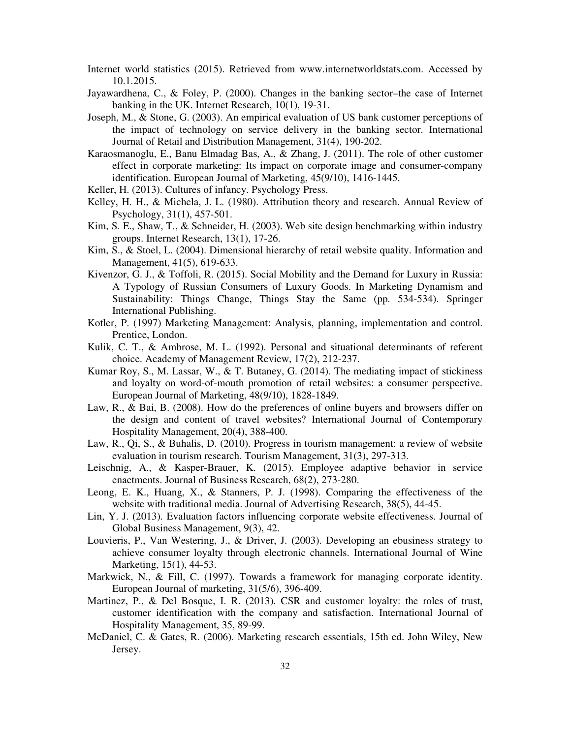- Internet world statistics (2015). Retrieved from www.internetworldstats.com. Accessed by 10.1.2015.
- Jayawardhena, C., & Foley, P. (2000). Changes in the banking sector–the case of Internet banking in the UK. Internet Research, 10(1), 19-31.
- Joseph, M., & Stone, G. (2003). An empirical evaluation of US bank customer perceptions of the impact of technology on service delivery in the banking sector. International Journal of Retail and Distribution Management, 31(4), 190-202.
- Karaosmanoglu, E., Banu Elmadag Bas, A., & Zhang, J. (2011). The role of other customer effect in corporate marketing: Its impact on corporate image and consumer-company identification. European Journal of Marketing, 45(9/10), 1416-1445.
- Keller, H. (2013). Cultures of infancy. Psychology Press.
- Kelley, H. H., & Michela, J. L. (1980). Attribution theory and research. Annual Review of Psychology, 31(1), 457-501.
- Kim, S. E., Shaw, T., & Schneider, H. (2003). Web site design benchmarking within industry groups. Internet Research, 13(1), 17-26.
- Kim, S., & Stoel, L. (2004). Dimensional hierarchy of retail website quality. Information and Management, 41(5), 619-633.
- Kivenzor, G. J., & Toffoli, R. (2015). Social Mobility and the Demand for Luxury in Russia: A Typology of Russian Consumers of Luxury Goods. In Marketing Dynamism and Sustainability: Things Change, Things Stay the Same (pp. 534-534). Springer International Publishing.
- Kotler, P. (1997) Marketing Management: Analysis, planning, implementation and control. Prentice, London.
- Kulik, C. T., & Ambrose, M. L. (1992). Personal and situational determinants of referent choice. Academy of Management Review, 17(2), 212-237.
- Kumar Roy, S., M. Lassar, W., & T. Butaney, G. (2014). The mediating impact of stickiness and loyalty on word-of-mouth promotion of retail websites: a consumer perspective. European Journal of Marketing, 48(9/10), 1828-1849.
- Law, R., & Bai, B. (2008). How do the preferences of online buyers and browsers differ on the design and content of travel websites? International Journal of Contemporary Hospitality Management, 20(4), 388-400.
- Law, R., Qi, S., & Buhalis, D. (2010). Progress in tourism management: a review of website evaluation in tourism research. Tourism Management, 31(3), 297-313.
- Leischnig, A., & Kasper-Brauer, K. (2015). Employee adaptive behavior in service enactments. Journal of Business Research, 68(2), 273-280.
- Leong, E. K., Huang, X., & Stanners, P. J. (1998). Comparing the effectiveness of the website with traditional media. Journal of Advertising Research, 38(5), 44-45.
- Lin, Y. J. (2013). Evaluation factors influencing corporate website effectiveness. Journal of Global Business Management, 9(3), 42.
- Louvieris, P., Van Westering, J., & Driver, J. (2003). Developing an ebusiness strategy to achieve consumer loyalty through electronic channels. International Journal of Wine Marketing, 15(1), 44-53.
- Markwick, N., & Fill, C. (1997). Towards a framework for managing corporate identity. European Journal of marketing, 31(5/6), 396-409.
- Martinez, P., & Del Bosque, I. R. (2013). CSR and customer loyalty: the roles of trust, customer identification with the company and satisfaction. International Journal of Hospitality Management, 35, 89-99.
- McDaniel, C. & Gates, R. (2006). Marketing research essentials, 15th ed. John Wiley, New Jersey.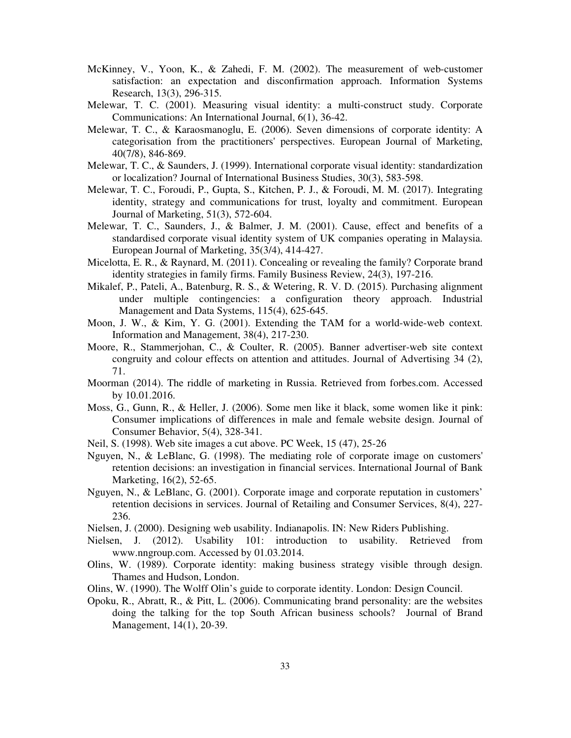- McKinney, V., Yoon, K., & Zahedi, F. M. (2002). The measurement of web-customer satisfaction: an expectation and disconfirmation approach. Information Systems Research, 13(3), 296-315.
- Melewar, T. C. (2001). Measuring visual identity: a multi-construct study. Corporate Communications: An International Journal, 6(1), 36-42.
- Melewar, T. C., & Karaosmanoglu, E. (2006). Seven dimensions of corporate identity: A categorisation from the practitioners' perspectives. European Journal of Marketing, 40(7/8), 846-869.
- Melewar, T. C., & Saunders, J. (1999). International corporate visual identity: standardization or localization? Journal of International Business Studies, 30(3), 583-598.
- Melewar, T. C., Foroudi, P., Gupta, S., Kitchen, P. J., & Foroudi, M. M. (2017). Integrating identity, strategy and communications for trust, loyalty and commitment. European Journal of Marketing, 51(3), 572-604.
- Melewar, T. C., Saunders, J., & Balmer, J. M. (2001). Cause, effect and benefits of a standardised corporate visual identity system of UK companies operating in Malaysia. European Journal of Marketing, 35(3/4), 414-427.
- Micelotta, E. R., & Raynard, M. (2011). Concealing or revealing the family? Corporate brand identity strategies in family firms. Family Business Review, 24(3), 197-216.
- Mikalef, P., Pateli, A., Batenburg, R. S., & Wetering, R. V. D. (2015). Purchasing alignment under multiple contingencies: a configuration theory approach. Industrial Management and Data Systems, 115(4), 625-645.
- Moon, J. W., & Kim, Y. G. (2001). Extending the TAM for a world-wide-web context. Information and Management, 38(4), 217-230.
- Moore, R., Stammerjohan, C., & Coulter, R. (2005). Banner advertiser-web site context congruity and colour effects on attention and attitudes. Journal of Advertising 34 (2), 71.
- Moorman (2014). The riddle of marketing in Russia. Retrieved from forbes.com. Accessed by 10.01.2016.
- Moss, G., Gunn, R., & Heller, J. (2006). Some men like it black, some women like it pink: Consumer implications of differences in male and female website design. Journal of Consumer Behavior, 5(4), 328-341.
- Neil, S. (1998). Web site images a cut above. PC Week, 15 (47), 25-26
- Nguyen, N., & LeBlanc, G. (1998). The mediating role of corporate image on customers' retention decisions: an investigation in financial services. International Journal of Bank Marketing, 16(2), 52-65.
- Nguyen, N., & LeBlanc, G. (2001). Corporate image and corporate reputation in customers' retention decisions in services. Journal of Retailing and Consumer Services, 8(4), 227- 236.
- Nielsen, J. (2000). Designing web usability. Indianapolis. IN: New Riders Publishing.
- Nielsen, J. (2012). Usability 101: introduction to usability. Retrieved from www.nngroup.com. Accessed by 01.03.2014.
- Olins, W. (1989). Corporate identity: making business strategy visible through design. Thames and Hudson, London.
- Olins, W. (1990). The Wolff Olin's guide to corporate identity. London: Design Council.
- Opoku, R., Abratt, R., & Pitt, L. (2006). Communicating brand personality: are the websites doing the talking for the top South African business schools? Journal of Brand Management, 14(1), 20-39.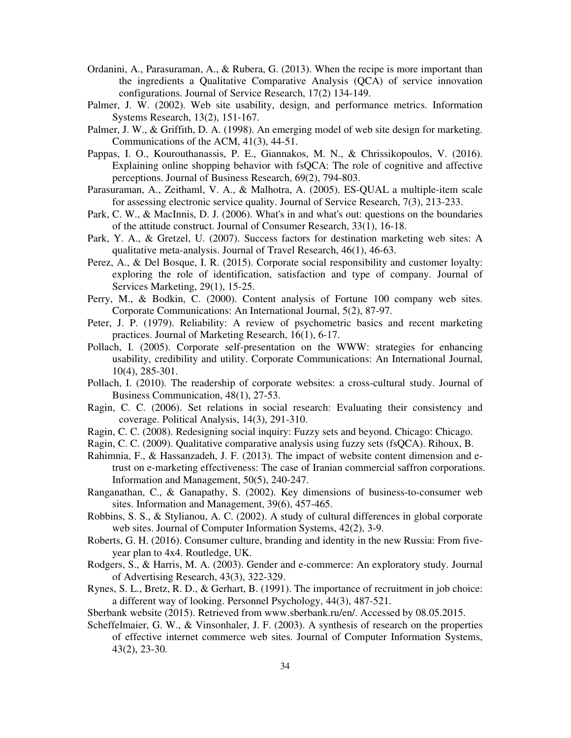- Ordanini, A., Parasuraman, A., & Rubera, G. (2013). When the recipe is more important than the ingredients a Qualitative Comparative Analysis (QCA) of service innovation configurations. Journal of Service Research, 17(2) 134-149.
- Palmer, J. W. (2002). Web site usability, design, and performance metrics. Information Systems Research, 13(2), 151-167.
- Palmer, J. W., & Griffith, D. A. (1998). An emerging model of web site design for marketing. Communications of the ACM, 41(3), 44-51.
- Pappas, I. O., Kourouthanassis, P. E., Giannakos, M. N., & Chrissikopoulos, V. (2016). Explaining online shopping behavior with fsQCA: The role of cognitive and affective perceptions. Journal of Business Research, 69(2), 794-803.
- Parasuraman, A., Zeithaml, V. A., & Malhotra, A. (2005). ES-QUAL a multiple-item scale for assessing electronic service quality. Journal of Service Research, 7(3), 213-233.
- Park, C. W., & MacInnis, D. J. (2006). What's in and what's out: questions on the boundaries of the attitude construct. Journal of Consumer Research, 33(1), 16-18.
- Park, Y. A., & Gretzel, U. (2007). Success factors for destination marketing web sites: A qualitative meta-analysis. Journal of Travel Research, 46(1), 46-63.
- Perez, A., & Del Bosque, I. R. (2015). Corporate social responsibility and customer loyalty: exploring the role of identification, satisfaction and type of company. Journal of Services Marketing, 29(1), 15-25.
- Perry, M., & Bodkin, C. (2000). Content analysis of Fortune 100 company web sites. Corporate Communications: An International Journal, 5(2), 87-97.
- Peter, J. P. (1979). Reliability: A review of psychometric basics and recent marketing practices. Journal of Marketing Research, 16(1), 6-17.
- Pollach, I. (2005). Corporate self-presentation on the WWW: strategies for enhancing usability, credibility and utility. Corporate Communications: An International Journal, 10(4), 285-301.
- Pollach, I. (2010). The readership of corporate websites: a cross-cultural study. Journal of Business Communication, 48(1), 27-53.
- Ragin, C. C. (2006). Set relations in social research: Evaluating their consistency and coverage. Political Analysis, 14(3), 291-310.
- Ragin, C. C. (2008). Redesigning social inquiry: Fuzzy sets and beyond. Chicago: Chicago.
- Ragin, C. C. (2009). Qualitative comparative analysis using fuzzy sets (fsQCA). Rihoux, B.
- Rahimnia, F., & Hassanzadeh, J. F. (2013). The impact of website content dimension and etrust on e-marketing effectiveness: The case of Iranian commercial saffron corporations. Information and Management, 50(5), 240-247.
- Ranganathan, C., & Ganapathy, S. (2002). Key dimensions of business-to-consumer web sites. Information and Management, 39(6), 457-465.
- Robbins, S. S., & Stylianou, A. C. (2002). A study of cultural differences in global corporate web sites. Journal of Computer Information Systems, 42(2), 3-9.
- Roberts, G. H. (2016). Consumer culture, branding and identity in the new Russia: From fiveyear plan to 4x4. Routledge, UK.
- Rodgers, S., & Harris, M. A. (2003). Gender and e-commerce: An exploratory study. Journal of Advertising Research, 43(3), 322-329.
- Rynes, S. L., Bretz, R. D., & Gerhart, B. (1991). The importance of recruitment in job choice: a different way of looking. Personnel Psychology, 44(3), 487-521.
- Sberbank website (2015). Retrieved from www.sberbank.ru/en/. Accessed by 08.05.2015.
- Scheffelmaier, G. W., & Vinsonhaler, J. F. (2003). A synthesis of research on the properties of effective internet commerce web sites. Journal of Computer Information Systems, 43(2), 23-30.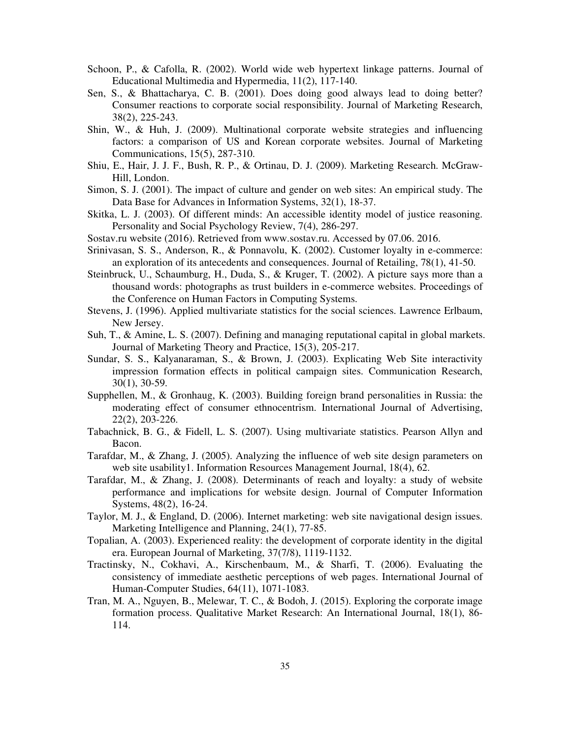- Schoon, P., & Cafolla, R. (2002). World wide web hypertext linkage patterns. Journal of Educational Multimedia and Hypermedia, 11(2), 117-140.
- Sen, S., & Bhattacharya, C. B. (2001). Does doing good always lead to doing better? Consumer reactions to corporate social responsibility. Journal of Marketing Research, 38(2), 225-243.
- Shin, W., & Huh, J. (2009). Multinational corporate website strategies and influencing factors: a comparison of US and Korean corporate websites. Journal of Marketing Communications, 15(5), 287-310.
- Shiu, E., Hair, J. J. F., Bush, R. P., & Ortinau, D. J. (2009). Marketing Research. McGraw-Hill, London.
- Simon, S. J. (2001). The impact of culture and gender on web sites: An empirical study. The Data Base for Advances in Information Systems, 32(1), 18-37.
- Skitka, L. J. (2003). Of different minds: An accessible identity model of justice reasoning. Personality and Social Psychology Review, 7(4), 286-297.
- Sostav.ru website (2016). Retrieved from www.sostav.ru. Accessed by 07.06. 2016.
- Srinivasan, S. S., Anderson, R., & Ponnavolu, K. (2002). Customer loyalty in e-commerce: an exploration of its antecedents and consequences. Journal of Retailing, 78(1), 41-50.
- Steinbruck, U., Schaumburg, H., Duda, S., & Kruger, T. (2002). A picture says more than a thousand words: photographs as trust builders in e-commerce websites. Proceedings of the Conference on Human Factors in Computing Systems.
- Stevens, J. (1996). Applied multivariate statistics for the social sciences. Lawrence Erlbaum, New Jersey.
- Suh, T., & Amine, L. S. (2007). Defining and managing reputational capital in global markets. Journal of Marketing Theory and Practice, 15(3), 205-217.
- Sundar, S. S., Kalyanaraman, S., & Brown, J. (2003). Explicating Web Site interactivity impression formation effects in political campaign sites. Communication Research, 30(1), 30-59.
- Supphellen, M., & Gronhaug, K. (2003). Building foreign brand personalities in Russia: the moderating effect of consumer ethnocentrism. International Journal of Advertising, 22(2), 203-226.
- Tabachnick, B. G., & Fidell, L. S. (2007). Using multivariate statistics. Pearson Allyn and Bacon.
- Tarafdar, M., & Zhang, J. (2005). Analyzing the influence of web site design parameters on web site usability1. Information Resources Management Journal, 18(4), 62.
- Tarafdar, M., & Zhang, J. (2008). Determinants of reach and loyalty: a study of website performance and implications for website design. Journal of Computer Information Systems, 48(2), 16-24.
- Taylor, M. J., & England, D. (2006). Internet marketing: web site navigational design issues. Marketing Intelligence and Planning, 24(1), 77-85.
- Topalian, A. (2003). Experienced reality: the development of corporate identity in the digital era. European Journal of Marketing, 37(7/8), 1119-1132.
- Tractinsky, N., Cokhavi, A., Kirschenbaum, M., & Sharfi, T. (2006). Evaluating the consistency of immediate aesthetic perceptions of web pages. International Journal of Human-Computer Studies, 64(11), 1071-1083.
- Tran, M. A., Nguyen, B., Melewar, T. C., & Bodoh, J. (2015). Exploring the corporate image formation process. Qualitative Market Research: An International Journal, 18(1), 86- 114.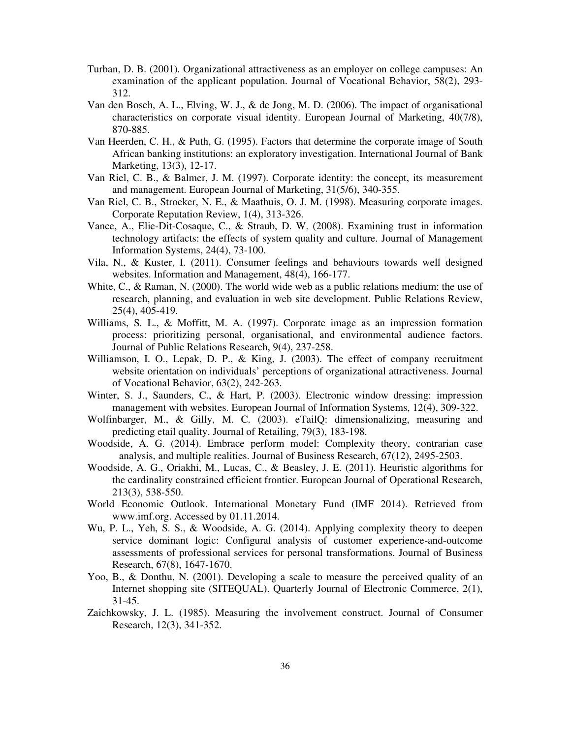- Turban, D. B. (2001). Organizational attractiveness as an employer on college campuses: An examination of the applicant population. Journal of Vocational Behavior, 58(2), 293- 312.
- Van den Bosch, A. L., Elving, W. J., & de Jong, M. D. (2006). The impact of organisational characteristics on corporate visual identity. European Journal of Marketing, 40(7/8), 870-885.
- Van Heerden, C. H., & Puth, G. (1995). Factors that determine the corporate image of South African banking institutions: an exploratory investigation. International Journal of Bank Marketing, 13(3), 12-17.
- Van Riel, C. B., & Balmer, J. M. (1997). Corporate identity: the concept, its measurement and management. European Journal of Marketing, 31(5/6), 340-355.
- Van Riel, C. B., Stroeker, N. E., & Maathuis, O. J. M. (1998). Measuring corporate images. Corporate Reputation Review, 1(4), 313-326.
- Vance, A., Elie-Dit-Cosaque, C., & Straub, D. W. (2008). Examining trust in information technology artifacts: the effects of system quality and culture. Journal of Management Information Systems, 24(4), 73-100.
- Vila, N., & Kuster, I. (2011). Consumer feelings and behaviours towards well designed websites. Information and Management, 48(4), 166-177.
- White, C., & Raman, N. (2000). The world wide web as a public relations medium: the use of research, planning, and evaluation in web site development. Public Relations Review, 25(4), 405-419.
- Williams, S. L., & Moffitt, M. A. (1997). Corporate image as an impression formation process: prioritizing personal, organisational, and environmental audience factors. Journal of Public Relations Research, 9(4), 237-258.
- Williamson, I. O., Lepak, D. P., & King, J. (2003). The effect of company recruitment website orientation on individuals' perceptions of organizational attractiveness. Journal of Vocational Behavior, 63(2), 242-263.
- Winter, S. J., Saunders, C., & Hart, P. (2003). Electronic window dressing: impression management with websites. European Journal of Information Systems, 12(4), 309-322.
- Wolfinbarger, M., & Gilly, M. C. (2003). eTailQ: dimensionalizing, measuring and predicting etail quality. Journal of Retailing, 79(3), 183-198.
- Woodside, A. G. (2014). Embrace perform model: Complexity theory, contrarian case analysis, and multiple realities. Journal of Business Research, 67(12), 2495-2503.
- Woodside, A. G., Oriakhi, M., Lucas, C., & Beasley, J. E. (2011). Heuristic algorithms for the cardinality constrained efficient frontier. European Journal of Operational Research, 213(3), 538-550.
- World Economic Outlook. International Monetary Fund (IMF 2014). Retrieved from www.imf.org. Accessed by 01.11.2014.
- Wu, P. L., Yeh, S. S., & Woodside, A. G. (2014). Applying complexity theory to deepen service dominant logic: Configural analysis of customer experience-and-outcome assessments of professional services for personal transformations. Journal of Business Research, 67(8), 1647-1670.
- Yoo, B., & Donthu, N. (2001). Developing a scale to measure the perceived quality of an Internet shopping site (SITEQUAL). Quarterly Journal of Electronic Commerce, 2(1), 31-45.
- Zaichkowsky, J. L. (1985). Measuring the involvement construct. Journal of Consumer Research, 12(3), 341-352.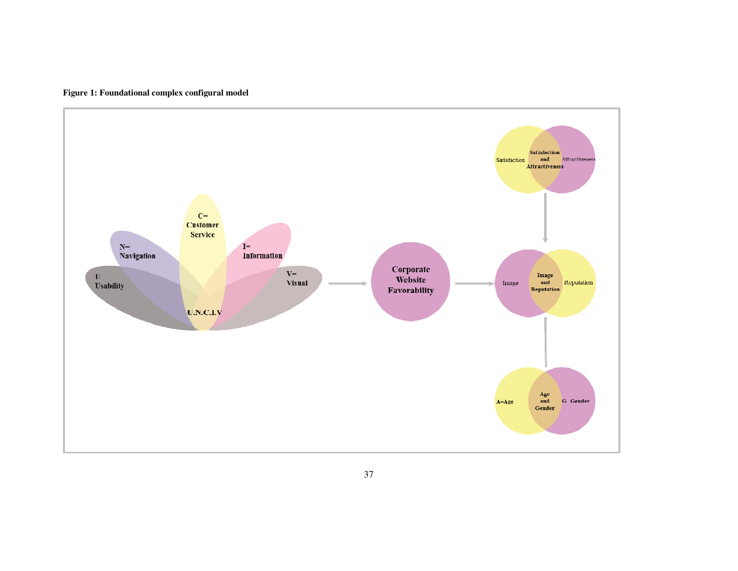

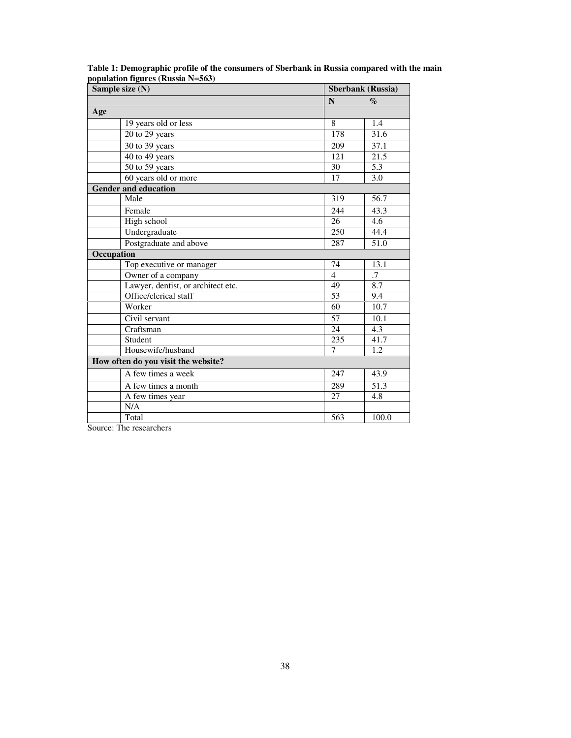| Sample size (N)                     |                | <b>Sberbank</b> (Russia)    |
|-------------------------------------|----------------|-----------------------------|
|                                     | N              | $\mathcal{G}_{\mathcal{O}}$ |
| Age                                 |                |                             |
| 19 years old or less                | 8              | 1.4                         |
| 20 to 29 years                      | 178            | 31.6                        |
| $30$ to $39$ years                  | 209            | 37.1                        |
| 40 to 49 years                      | 121            | $\overline{21.5}$           |
| 50 to 59 years                      | 30             | 5.3                         |
| 60 years old or more                | 17             | 3.0                         |
| <b>Gender and education</b>         |                |                             |
| Male                                | 319            | 56.7                        |
| Female                              | 244            | 43.3                        |
| High school                         | 26             | 4.6                         |
| Undergraduate                       | 250            | 44.4                        |
| Postgraduate and above              | 287            | 51.0                        |
| Occupation                          |                |                             |
| Top executive or manager            | 74             | 13.1                        |
| Owner of a company                  | $\overline{4}$ | .7                          |
| Lawyer, dentist, or architect etc.  | 49             | 8.7                         |
| Office/clerical staff               | 53             | 9.4                         |
| Worker                              | 60             | 10.7                        |
| Civil servant                       | 57             | 10.1                        |
| Craftsman                           | 24             | 4.3                         |
| Student                             | 235            | 41.7                        |
| Housewife/husband                   | 7              | 1.2                         |
| How often do you visit the website? |                |                             |
| A few times a week                  | 247            | 43.9                        |
| A few times a month                 | 289            | 51.3                        |
| A few times year                    | 27             | 4.8                         |
| N/A                                 |                |                             |
| Total                               | 563            | 100.0                       |

**Table 1: Demographic profile of the consumers of Sberbank in Russia compared with the main population figures (Russia N=563)**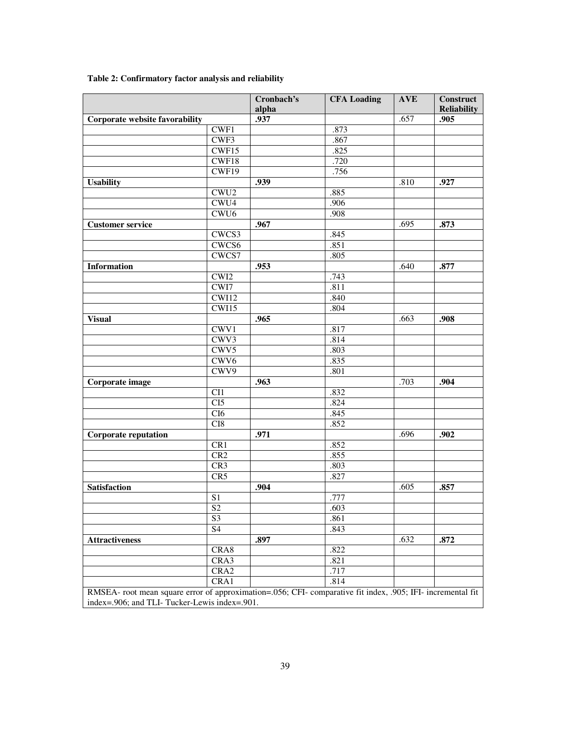|                                                                                                             |                           | Cronbach's<br>alpha | <b>CFA Loading</b> | <b>AVE</b> | <b>Construct</b><br><b>Reliability</b> |
|-------------------------------------------------------------------------------------------------------------|---------------------------|---------------------|--------------------|------------|----------------------------------------|
| Corporate website favorability                                                                              |                           | .937                |                    | .657       | .905                                   |
|                                                                                                             | CWF1                      |                     | .873               |            |                                        |
|                                                                                                             | CWF3                      |                     | .867               |            |                                        |
|                                                                                                             | CWF15                     |                     | .825               |            |                                        |
|                                                                                                             | CWF18                     |                     | .720               |            |                                        |
|                                                                                                             | CWF19                     |                     | .756               |            |                                        |
| <b>Usability</b>                                                                                            |                           | .939                |                    | .810       | .927                                   |
|                                                                                                             | CWU <sub>2</sub>          |                     | .885               |            |                                        |
|                                                                                                             | CWU4                      |                     | .906               |            |                                        |
|                                                                                                             | CWU <sub>6</sub>          |                     | .908               |            |                                        |
| <b>Customer service</b>                                                                                     |                           | .967                |                    | .695       | .873                                   |
|                                                                                                             | CWCS3                     |                     | .845               |            |                                        |
|                                                                                                             | CWCS6                     |                     | .851               |            |                                        |
|                                                                                                             | CWCS7                     |                     | .805               |            |                                        |
| <b>Information</b>                                                                                          |                           | .953                |                    | .640       | .877                                   |
|                                                                                                             | CWI <sub>2</sub>          |                     | .743               |            |                                        |
|                                                                                                             | CWI7                      |                     | .811               |            |                                        |
|                                                                                                             | CWI12                     |                     | .840               |            |                                        |
|                                                                                                             | CWI15                     |                     | .804               |            |                                        |
| <b>Visual</b>                                                                                               |                           | .965                |                    | .663       | .908                                   |
|                                                                                                             | $\overline{\text{CWV}}$ 1 |                     | .817               |            |                                        |
|                                                                                                             | CWV3                      |                     | .814               |            |                                        |
|                                                                                                             | CWV <sub>5</sub>          |                     | .803               |            |                                        |
|                                                                                                             | CWV <sub>6</sub>          |                     | .835               |            |                                        |
|                                                                                                             | CWV9                      |                     | .801               |            |                                        |
| Corporate image                                                                                             |                           | .963                |                    | .703       | .904                                   |
|                                                                                                             | $\overline{CI1}$          |                     | .832               |            |                                        |
|                                                                                                             | CI5                       |                     | .824               |            |                                        |
|                                                                                                             | CI6                       |                     | .845               |            |                                        |
|                                                                                                             | C18                       |                     | .852               |            |                                        |
| <b>Corporate reputation</b>                                                                                 |                           | .971                |                    | .696       | .902                                   |
|                                                                                                             | CR1                       |                     | .852               |            |                                        |
|                                                                                                             | CR2                       |                     | .855               |            |                                        |
|                                                                                                             | CR3                       |                     | .803               |            |                                        |
|                                                                                                             | CR5                       |                     | .827               |            |                                        |
| <b>Satisfaction</b>                                                                                         |                           | .904                |                    | .605       | .857                                   |
|                                                                                                             | S1                        |                     | .777               |            |                                        |
|                                                                                                             | $\overline{S2}$           |                     | .603               |            |                                        |
|                                                                                                             | S <sub>3</sub>            |                     | .861               |            |                                        |
|                                                                                                             | S <sub>4</sub>            |                     | .843               |            |                                        |
| <b>Attractiveness</b>                                                                                       |                           | .897                |                    | .632       | .872                                   |
|                                                                                                             | CRA8                      |                     | .822               |            |                                        |
|                                                                                                             | CRA3                      |                     | .821               |            |                                        |
|                                                                                                             | CRA2                      |                     | .717               |            |                                        |
|                                                                                                             | CRA1                      |                     | .814               |            |                                        |
| RMSEA- root mean square error of approximation=.056; CFI- comparative fit index, .905; IFI- incremental fit |                           |                     |                    |            |                                        |

# **Table 2: Confirmatory factor analysis and reliability**

RMSEA- root mean square error of approximation=.056; CFI- comparative fit index, .905; IFI- incremental fit index=.906; and TLI- Tucker-Lewis index=.901.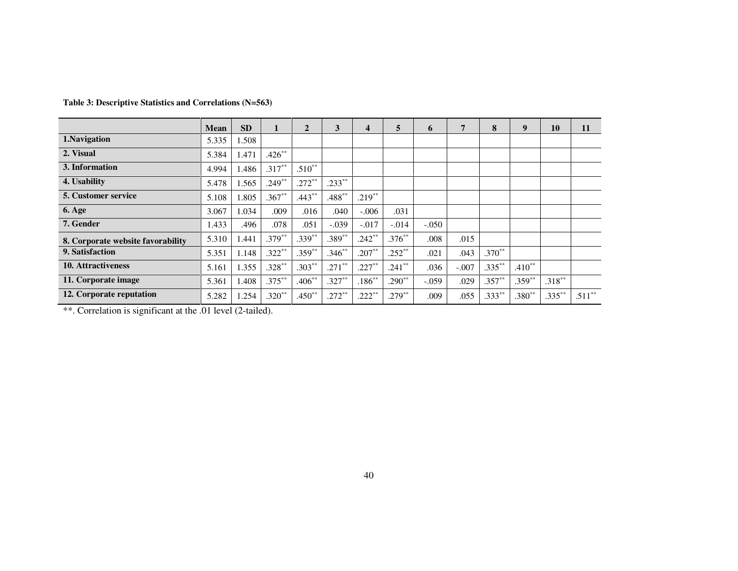|                                   | <b>Mean</b> | <b>SD</b>        |           | $\overline{2}$ | 3         | 4         | 5         | 6       | 5       | 8         | 9        | 10        | 11       |
|-----------------------------------|-------------|------------------|-----------|----------------|-----------|-----------|-----------|---------|---------|-----------|----------|-----------|----------|
| 1.Navigation                      | 5.335       | 1.508            |           |                |           |           |           |         |         |           |          |           |          |
| 2. Visual                         | 5.384       | L <sub>471</sub> | $.426**$  |                |           |           |           |         |         |           |          |           |          |
| 3. Information                    | 4.994       | 1.486            | $.317***$ | $.510**$       |           |           |           |         |         |           |          |           |          |
| 4. Usability                      | 5.478       | 1.565            | $.249**$  | $.272**$       | $.233**$  |           |           |         |         |           |          |           |          |
| <b>5. Customer service</b>        | 5.108       | 1.805            | $.367**$  | $.443**$       | $.488**$  | $.219**$  |           |         |         |           |          |           |          |
| <b>6. Age</b>                     | 3.067       | 1.034            | .009      | .016           | .040      | $-.006$   | .031      |         |         |           |          |           |          |
| 7. Gender                         | .433        | .496             | .078      | .051           | $-.039$   | $-.017$   | $-.014$   | $-.050$ |         |           |          |           |          |
| 8. Corporate website favorability | 5.310       | l.441            | $.379***$ | $.339**$       | $.389**$  | $.242**$  | $.376***$ | .008    | .015    |           |          |           |          |
| 9. Satisfaction                   | 5.351       | 1.148            | $.322**$  | $.359**$       | $.346**$  | $.207**$  | $.252**$  | .021    | .043    | $.370**$  |          |           |          |
| <b>10. Attractiveness</b>         | 5.161       | 1.355            | $.328**$  | $.303**$       | $.271***$ | $.227**$  | $.241**$  | .036    | $-.007$ | $.335***$ | $.410**$ |           |          |
| 11. Corporate image               | 5.361       | 1.408            | $.375***$ | $.406**$       | $.327**$  | $.186***$ | $.290**$  | $-.059$ | .029    | $.357**$  | $.359**$ | $.318***$ |          |
| 12. Corporate reputation          | 5.282       | .254             | $.320**$  | $.450**$       | $.272**$  | $.222**$  | $.279**$  | .009    | .055    | $.333**$  | $.380**$ | $.335***$ | $.511**$ |

## **Table 3: Descriptive Statistics and Correlations (N=563)**

\*\*. Correlation is significant at the .01 level (2-tailed).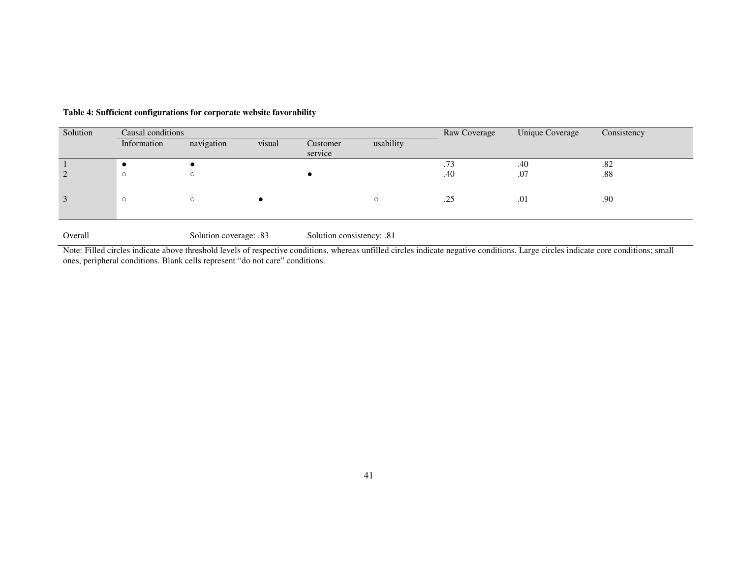| Solution | Causal conditions |                        |        |                           |           | Raw Coverage | Unique Coverage | Consistency |
|----------|-------------------|------------------------|--------|---------------------------|-----------|--------------|-----------------|-------------|
|          | Information       | navigation             | visual | Customer                  | usability |              |                 |             |
|          |                   |                        |        | service                   |           |              |                 |             |
|          |                   |                        |        |                           |           | .73          | .40             | .82         |
|          |                   |                        |        |                           |           | .40          | .07             | .88         |
|          |                   |                        |        |                           |           |              |                 |             |
| 3        | $\circ$           | $\circ$                |        |                           | $\circ$   | .25          | .01             | .90         |
|          |                   |                        |        |                           |           |              |                 |             |
|          |                   |                        |        |                           |           |              |                 |             |
| Overall  |                   | Solution coverage: .83 |        | Solution consistency: .81 |           |              |                 |             |

#### **Table 4: Sufficient configurations for corporate website favorability**

Note: Filled circles indicate above threshold levels of respective conditions, whereas unfilled circles indicate negative conditions. Large circles indicate core conditions; small ones, peripheral conditions. Blank cells represent "do not care" conditions.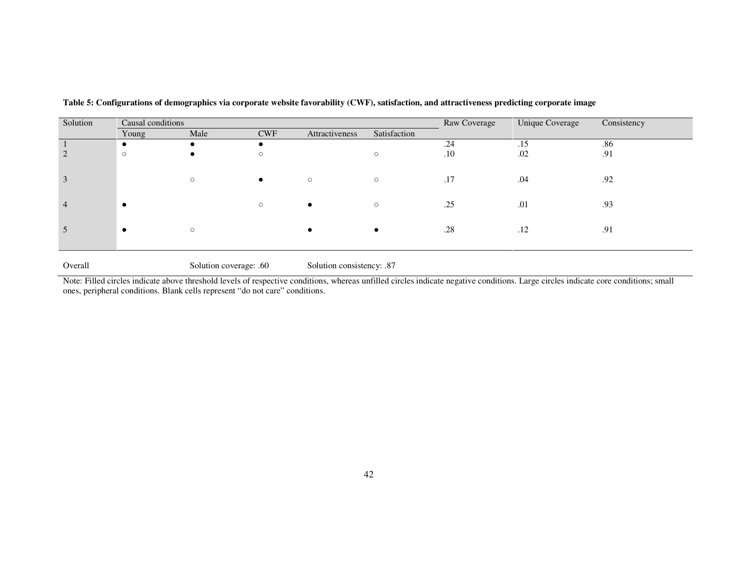| Solution       | Causal conditions |         |            |                |              | Raw Coverage | Unique Coverage | Consistency |
|----------------|-------------------|---------|------------|----------------|--------------|--------------|-----------------|-------------|
|                | Young             | Male    | <b>CWF</b> | Attractiveness | Satisfaction |              |                 |             |
|                |                   |         |            |                |              | .24          | .15             | .86         |
|                | $\circ$           |         | $\circ$    |                | $\circ$      | .10          | .02             | .91         |
|                |                   |         |            |                |              |              |                 |             |
|                |                   | $\circ$ | $\bullet$  | $\circ$        | $\circ$      | .17          | .04             | .92         |
|                |                   |         |            |                |              |              |                 |             |
| $\overline{4}$ |                   |         | $\circ$    | $\bullet$      | $\circ$      | .25          | .01             | .93         |
|                |                   |         |            |                |              |              |                 |             |
|                |                   |         |            |                |              |              |                 |             |
| $\mathcal{L}$  |                   | $\circ$ |            |                |              | .28          | .12             | .91         |
|                |                   |         |            |                |              |              |                 |             |

|  | Table 5: Configurations of demographics via corporate website favorability (CWF), satisfaction, and attractiveness predicting corporate image |  |  |  |
|--|-----------------------------------------------------------------------------------------------------------------------------------------------|--|--|--|
|  |                                                                                                                                               |  |  |  |

Overall Solution coverage: .60 Solution consistency: .87

Note: Filled circles indicate above threshold levels of respective conditions, whereas unfilled circles indicate negative conditions. Large circles indicate core conditions; small ones, peripheral conditions. Blank cells represent "do not care" conditions.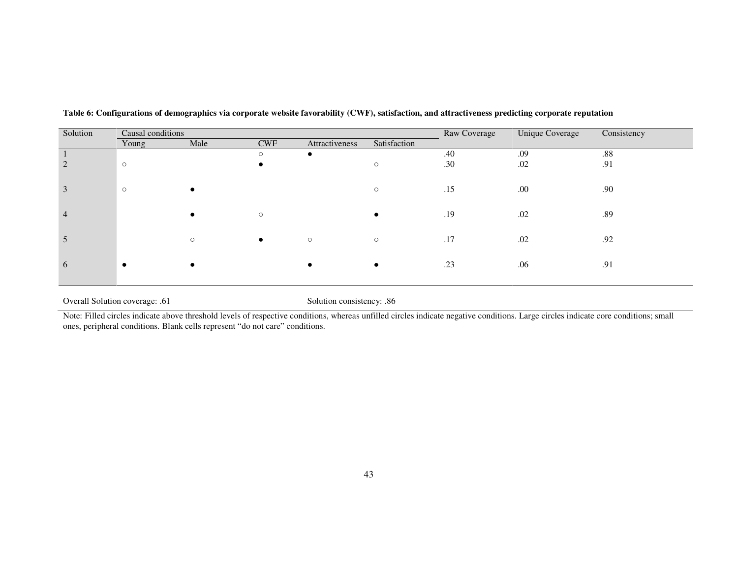| Solution | Causal conditions |         |             |                |              | Raw Coverage | Unique Coverage | Consistency |
|----------|-------------------|---------|-------------|----------------|--------------|--------------|-----------------|-------------|
|          | Young             | Male    | ${\rm CWF}$ | Attractiveness | Satisfaction |              |                 |             |
|          |                   |         | $\circ$     |                |              | .40          | .09             | .88         |
|          | $\circ$           |         |             |                | $\circ$      | .30          | .02             | .91         |
|          | $\circ$           |         |             |                | $\circ$      | .15          | .00.            | .90         |
| 4        |                   |         | $\circ$     |                |              | .19          | .02             | .89         |
| €        |                   | $\circ$ | $\bullet$   | $\circ$        | $\circ$      | .17          | .02             | .92         |
| $\theta$ |                   |         |             |                | $\bullet$    | .23          | .06             | .91         |

**Table 6: Configurations of demographics via corporate website favorability (CWF), satisfaction, and attractiveness predicting corporate reputation** 

Overall Solution coverage: .61 Solution consistency: .86

Note: Filled circles indicate above threshold levels of respective conditions, whereas unfilled circles indicate negative conditions. Large circles indicate core conditions; small ones, peripheral conditions. Blank cells represent "do not care" conditions.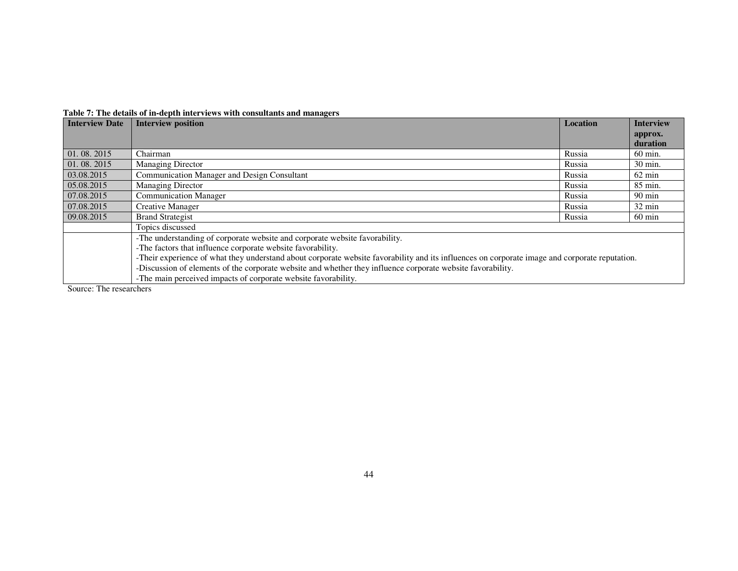| <b>Interview Date</b> | <b>Interview position</b>                                                                                                                      | <b>Location</b> | <b>Interview</b>    |
|-----------------------|------------------------------------------------------------------------------------------------------------------------------------------------|-----------------|---------------------|
|                       |                                                                                                                                                |                 | approx.<br>duration |
| 01.08.2015            | Chairman                                                                                                                                       | Russia          | 60 min.             |
| 01.08.2015            | <b>Managing Director</b>                                                                                                                       | Russia          | 30 min.             |
| 03.08.2015            | <b>Communication Manager and Design Consultant</b>                                                                                             | Russia          | $62 \text{ min}$    |
| 05.08.2015            | <b>Managing Director</b>                                                                                                                       | Russia          | 85 min.             |
| 07.08.2015            | <b>Communication Manager</b>                                                                                                                   | Russia          | $90 \text{ min}$    |
| 07.08.2015            | Creative Manager                                                                                                                               | Russia          | 32 min              |
| 09.08.2015            | <b>Brand Strategist</b>                                                                                                                        | Russia          | $60 \text{ min}$    |
|                       | Topics discussed                                                                                                                               |                 |                     |
|                       | -The understanding of corporate website and corporate website favorability.                                                                    |                 |                     |
|                       | -The factors that influence corporate website favorability.                                                                                    |                 |                     |
|                       | -Their experience of what they understand about corporate website favorability and its influences on corporate image and corporate reputation. |                 |                     |
|                       | -Discussion of elements of the corporate website and whether they influence corporate website favorability.                                    |                 |                     |
|                       | -The main perceived impacts of corporate website favorability.                                                                                 |                 |                     |

#### **Table 7: The details of in-depth interviews with consultants and managers**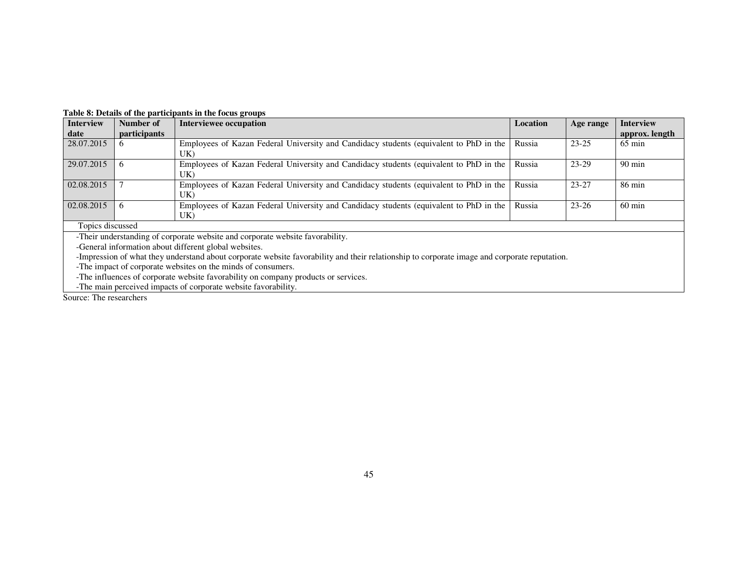| <b>Interview</b> | Number of           | <b>Interviewee occupation</b>                                                                 | Location | Age range | <b>Interview</b> |
|------------------|---------------------|-----------------------------------------------------------------------------------------------|----------|-----------|------------------|
| date             | <i>participants</i> |                                                                                               |          |           | approx. length   |
| 28.07.2015       |                     | Employees of Kazan Federal University and Candidacy students (equivalent to PhD in the<br>UK) | Russia   | $23 - 25$ | $65 \text{ min}$ |
| 29.07.2015       |                     | Employees of Kazan Federal University and Candidacy students (equivalent to PhD in the<br>UK) | Russia   | $23-29$   | $90 \text{ min}$ |
| 02.08.2015       |                     | Employees of Kazan Federal University and Candidacy students (equivalent to PhD in the<br>UK) | Russia   | $23 - 27$ | $86 \text{ min}$ |
| 02.08.2015       |                     | Employees of Kazan Federal University and Candidacy students (equivalent to PhD in the<br>UK) | Russia   | $23 - 26$ | $60 \text{ min}$ |
| Topics discussed |                     |                                                                                               |          |           |                  |
|                  |                     | Their understanding of corporate website and corporate website favorability                   |          |           |                  |

#### **Table 8: Details of the participants in the focus groups**

-Their understanding of corporate website and corporate website favorability.

-General information about different global websites.

-Impression of what they understand about corporate website favorability and their relationship to corporate image and corporate reputation.<br>-The impact of corporate websites on the minds of consumers.<br>-The influences of c

-The main perceived impacts of corporate website favorability.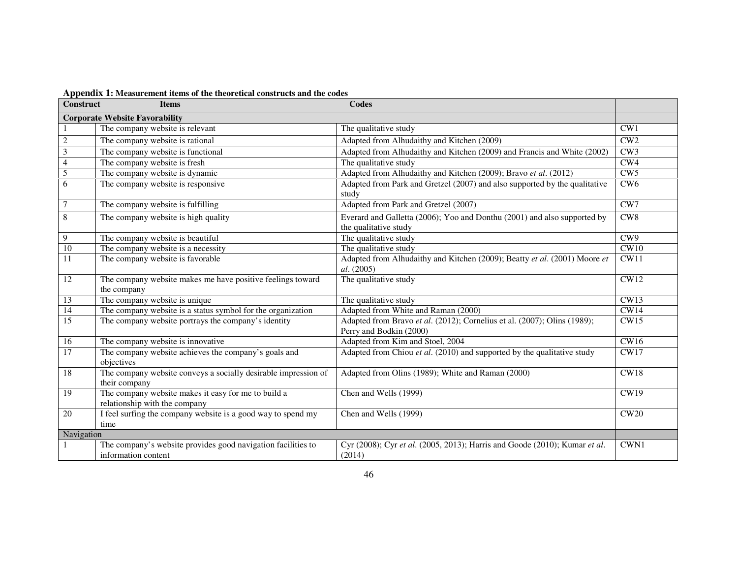| <b>Construct</b>        | --- -- -------- -<br><b>Items</b>                                                    | <b>Codes</b>                                                                                        |                 |
|-------------------------|--------------------------------------------------------------------------------------|-----------------------------------------------------------------------------------------------------|-----------------|
|                         | <b>Corporate Website Favorability</b>                                                |                                                                                                     |                 |
|                         | The company website is relevant                                                      | The qualitative study                                                                               | CW1             |
| $\sqrt{2}$              | The company website is rational                                                      | Adapted from Alhudaithy and Kitchen (2009)                                                          | CW2             |
| $\overline{\mathbf{3}}$ | The company website is functional                                                    | Adapted from Alhudaithy and Kitchen (2009) and Francis and White (2002)                             | CW3             |
| $\overline{4}$          | The company website is fresh                                                         | The qualitative study                                                                               | CW4             |
| 5                       | The company website is dynamic                                                       | Adapted from Alhudaithy and Kitchen (2009); Bravo et al. (2012)                                     | CW5             |
| 6                       | The company website is responsive                                                    | Adapted from Park and Gretzel (2007) and also supported by the qualitative<br>study                 | CW <sub>6</sub> |
| $\tau$                  | The company website is fulfilling                                                    | Adapted from Park and Gretzel (2007)                                                                | CW7             |
| $\overline{8}$          | The company website is high quality                                                  | Everard and Galletta (2006); Yoo and Donthu (2001) and also supported by                            | CW <sub>8</sub> |
|                         |                                                                                      | the qualitative study                                                                               |                 |
| $\overline{9}$          | The company website is beautiful                                                     | The qualitative study                                                                               | CW9             |
| 10                      | The company website is a necessity                                                   | The qualitative study                                                                               | CW10            |
| 11                      | The company website is favorable                                                     | Adapted from Alhudaithy and Kitchen (2009); Beatty et al. (2001) Moore et<br>al. (2005)             | CW11            |
| 12                      | The company website makes me have positive feelings toward<br>the company            | The qualitative study                                                                               | <b>CW12</b>     |
| 13                      | The company website is unique                                                        | The qualitative study                                                                               | CW13            |
| 14                      | The company website is a status symbol for the organization                          | Adapted from White and Raman (2000)                                                                 | CW14            |
| $\overline{15}$         | The company website portrays the company's identity                                  | Adapted from Bravo et al. (2012); Cornelius et al. (2007); Olins (1989);<br>Perry and Bodkin (2000) | CW15            |
| 16                      | The company website is innovative                                                    | Adapted from Kim and Stoel, 2004                                                                    | CW16            |
| 17                      | The company website achieves the company's goals and<br>objectives                   | Adapted from Chiou et al. (2010) and supported by the qualitative study                             | CW17            |
| 18                      | The company website conveys a socially desirable impression of<br>their company      | Adapted from Olins (1989); White and Raman (2000)                                                   | CW18            |
| 19                      | The company website makes it easy for me to build a<br>relationship with the company | Chen and Wells (1999)                                                                               | <b>CW19</b>     |
| $\overline{20}$         | I feel surfing the company website is a good way to spend my<br>time                 | Chen and Wells (1999)                                                                               | CW20            |
| Navigation              |                                                                                      |                                                                                                     |                 |
|                         | The company's website provides good navigation facilities to<br>information content  | Cyr (2008); Cyr et al. (2005, 2013); Harris and Goode (2010); Kumar et al.<br>(2014)                | CWN1            |

**Appendix 1: Measurement items of the theoretical constructs and the codes**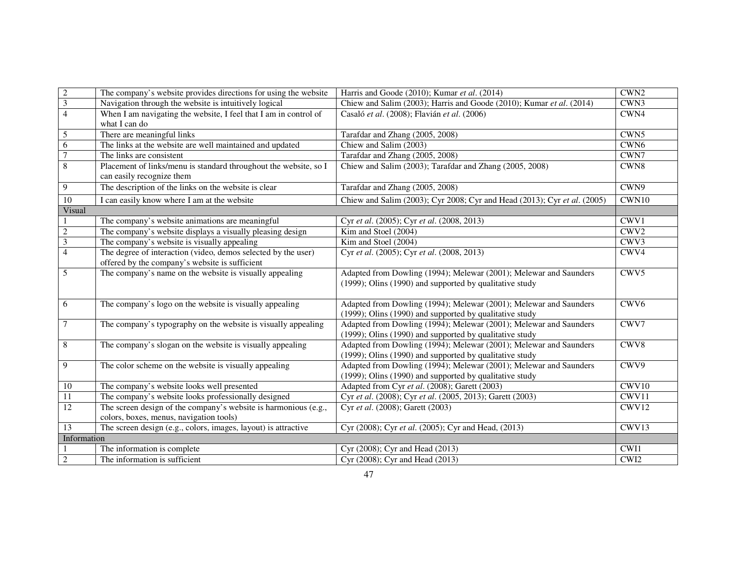| $\overline{2}$          | The company's website provides directions for using the website  | Harris and Goode (2010); Kumar et al. (2014)                             | CWN <sub>2</sub> |
|-------------------------|------------------------------------------------------------------|--------------------------------------------------------------------------|------------------|
| $\overline{\mathbf{3}}$ | Navigation through the website is intuitively logical            | Chiew and Salim (2003); Harris and Goode (2010); Kumar et al. (2014)     | CWN3             |
| $\overline{4}$          | When I am navigating the website, I feel that I am in control of | Casaló et al. (2008); Flavián et al. (2006)                              | CWN4             |
|                         | what I can do                                                    |                                                                          |                  |
| $\overline{5}$          | There are meaningful links                                       | Tarafdar and Zhang (2005, 2008)                                          | CWN5             |
| $\overline{6}$          | The links at the website are well maintained and updated         | Chiew and Salim (2003)                                                   | CWN <sub>6</sub> |
| $\overline{7}$          | The links are consistent                                         | Tarafdar and Zhang (2005, 2008)                                          | CWN7             |
| $\overline{8}$          | Placement of links/menu is standard throughout the website, so I | Chiew and Salim (2003); Tarafdar and Zhang (2005, 2008)                  | CWN8             |
|                         | can easily recognize them                                        |                                                                          |                  |
| 9                       | The description of the links on the website is clear             | Tarafdar and Zhang (2005, 2008)                                          | CWN9             |
| $\overline{10}$         | I can easily know where I am at the website                      | Chiew and Salim (2003); Cyr 2008; Cyr and Head (2013); Cyr et al. (2005) | CWN10            |
| Visual                  |                                                                  |                                                                          |                  |
| $\mathbf{1}$            | The company's website animations are meaningful                  | Cyr et al. (2005); Cyr et al. (2008, 2013)                               | CWV1             |
| $\overline{2}$          | The company's website displays a visually pleasing design        | Kim and Stoel (2004)                                                     | CWV <sub>2</sub> |
| $\overline{\mathbf{3}}$ | The company's website is visually appealing                      | Kim and Stoel (2004)                                                     | CWV3             |
| $\overline{4}$          | The degree of interaction (video, demos selected by the user)    | Cyr et al. (2005); Cyr et al. (2008, 2013)                               | CWV4             |
|                         | offered by the company's website is sufficient                   |                                                                          |                  |
| $\overline{5}$          | The company's name on the website is visually appealing          | Adapted from Dowling (1994); Melewar (2001); Melewar and Saunders        | CWV <sub>5</sub> |
|                         |                                                                  | (1999); Olins (1990) and supported by qualitative study                  |                  |
| 6                       | The company's logo on the website is visually appealing          | Adapted from Dowling (1994); Melewar (2001); Melewar and Saunders        | CWV <sub>6</sub> |
|                         |                                                                  | (1999); Olins (1990) and supported by qualitative study                  |                  |
| $\overline{7}$          | The company's typography on the website is visually appealing    | Adapted from Dowling (1994); Melewar (2001); Melewar and Saunders        | CWV7             |
|                         |                                                                  | (1999); Olins (1990) and supported by qualitative study                  |                  |
| $\,8\,$                 | The company's slogan on the website is visually appealing        | Adapted from Dowling (1994); Melewar (2001); Melewar and Saunders        | CWV8             |
|                         |                                                                  | (1999); Olins (1990) and supported by qualitative study                  |                  |
| 9                       | The color scheme on the website is visually appealing            | Adapted from Dowling (1994); Melewar (2001); Melewar and Saunders        | CWV9             |
|                         |                                                                  | (1999); Olins (1990) and supported by qualitative study                  |                  |
| 10                      | The company's website looks well presented                       | Adapted from Cyr et al. (2008); Garett (2003)                            | CWV10            |
| $\overline{11}$         | The company's website looks professionally designed              | Cyr et al. (2008); Cyr et al. (2005, 2013); Garett (2003)                | CWV11            |
| 12                      | The screen design of the company's website is harmonious (e.g.,  | Cyr et al. (2008); Garett (2003)                                         | CWV12            |
|                         | colors, boxes, menus, navigation tools)                          |                                                                          |                  |
| 13                      | The screen design (e.g., colors, images, layout) is attractive   | Cyr (2008); Cyr et al. (2005); Cyr and Head, (2013)                      | CWV13            |
| Information             |                                                                  |                                                                          |                  |
|                         | The information is complete                                      | Cyr (2008); Cyr and Head (2013)                                          | CWI1             |
| $\overline{2}$          | The information is sufficient                                    | Cyr (2008); Cyr and Head (2013)                                          | CWI2             |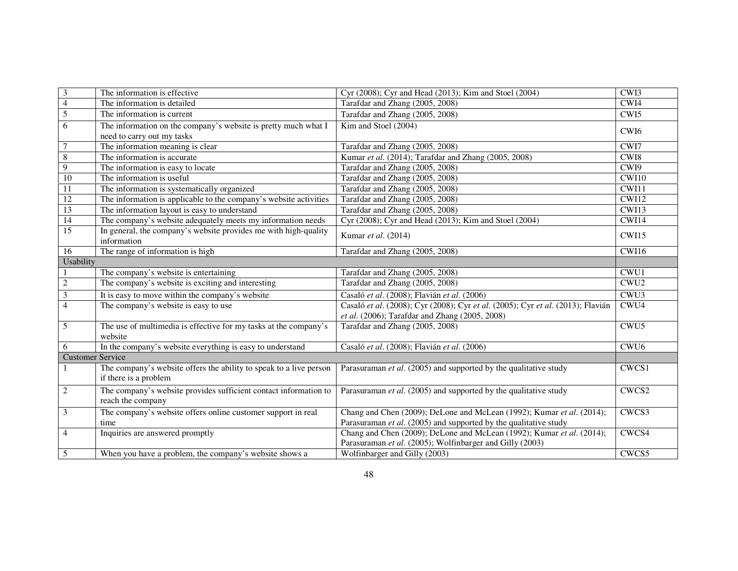| $\overline{\mathbf{3}}$ | The information is effective.                                                               | Cyr (2008); Cyr and Head (2013); Kim and Stoel (2004)                           | CWI3             |
|-------------------------|---------------------------------------------------------------------------------------------|---------------------------------------------------------------------------------|------------------|
| $\overline{4}$          | The information is detailed                                                                 | Tarafdar and Zhang (2005, 2008)                                                 | CWI4             |
| $\overline{5}$          | The information is current                                                                  | Tarafdar and Zhang (2005, 2008)                                                 | CWI5             |
| 6                       | The information on the company's website is pretty much what I                              | Kim and Stoel (2004)                                                            | CWI <sub>6</sub> |
|                         | need to carry out my tasks                                                                  |                                                                                 |                  |
| $\overline{7}$          | The information meaning is clear                                                            | Tarafdar and Zhang (2005, 2008)                                                 | CWI7             |
| $\overline{8}$          | The information is accurate                                                                 | Kumar et al. (2014); Tarafdar and Zhang (2005, 2008)                            | CWI <sub>8</sub> |
| $\overline{9}$          | The information is easy to locate                                                           | Tarafdar and Zhang (2005, 2008)                                                 | CWI9             |
| 10                      | The information is useful                                                                   | Tarafdar and Zhang (2005, 2008)                                                 | CWI10            |
| $\overline{11}$         | The information is systematically organized                                                 | Tarafdar and Zhang (2005, 2008)                                                 | CWI11            |
| 12                      | The information is applicable to the company's website activities                           | Tarafdar and Zhang (2005, 2008)                                                 | CWI12            |
| 13                      | The information layout is easy to understand                                                | Tarafdar and Zhang (2005, 2008)                                                 | CWI13            |
| 14                      | The company's website adequately meets my information needs                                 | Cyr (2008); Cyr and Head (2013); Kim and Stoel (2004)                           | CWI14            |
| 15                      | In general, the company's website provides me with high-quality<br>information              | Kumar et al. (2014)                                                             | CWI15            |
| 16                      | The range of information is high                                                            | Tarafdar and Zhang (2005, 2008)                                                 | CWI16            |
| <b>Usability</b>        |                                                                                             |                                                                                 |                  |
|                         | The company's website is entertaining                                                       | Tarafdar and Zhang (2005, 2008)                                                 | CWU1             |
| $\overline{2}$          | The company's website is exciting and interesting                                           | Tarafdar and Zhang (2005, 2008)                                                 | CWU <sub>2</sub> |
| $\mathfrak{Z}$          | It is easy to move within the company's website                                             | Casaló et al. (2008); Flavián et al. (2006)                                     | CWU3             |
| $\overline{4}$          | The company's website is easy to use                                                        | Casaló et al. (2008); Cyr (2008); Cyr et al. (2005); Cyr et al. (2013); Flavián | CWU4             |
|                         |                                                                                             | et al. (2006); Tarafdar and Zhang (2005, 2008)                                  |                  |
| 5                       | The use of multimedia is effective for my tasks at the company's                            | Tarafdar and Zhang (2005, 2008)                                                 | CWU <sub>5</sub> |
|                         | website                                                                                     |                                                                                 |                  |
| 6                       | In the company's website everything is easy to understand                                   | Casaló et al. (2008); Flavián et al. (2006)                                     | CWU <sub>6</sub> |
| <b>Customer Service</b> |                                                                                             |                                                                                 |                  |
|                         | The company's website offers the ability to speak to a live person<br>if there is a problem | Parasuraman <i>et al.</i> (2005) and supported by the qualitative study         | CWCS1            |
| $\overline{2}$          | The company's website provides sufficient contact information to                            | Parasuraman et al. (2005) and supported by the qualitative study                | CWCS2            |
|                         | reach the company                                                                           |                                                                                 |                  |
| 3                       | The company's website offers online customer support in real                                | Chang and Chen (2009); DeLone and McLean (1992); Kumar et al. (2014);           | CWCS3            |
|                         | time                                                                                        | Parasuraman et al. (2005) and supported by the qualitative study                |                  |
| $\overline{4}$          | Inquiries are answered promptly                                                             | Chang and Chen (2009); DeLone and McLean (1992); Kumar et al. (2014);           | CWCS4            |
|                         |                                                                                             | Parasuraman et al. (2005); Wolfinbarger and Gilly (2003)                        |                  |
| 5                       | When you have a problem, the company's website shows a                                      | Wolfinbarger and Gilly (2003)                                                   | CWCS5            |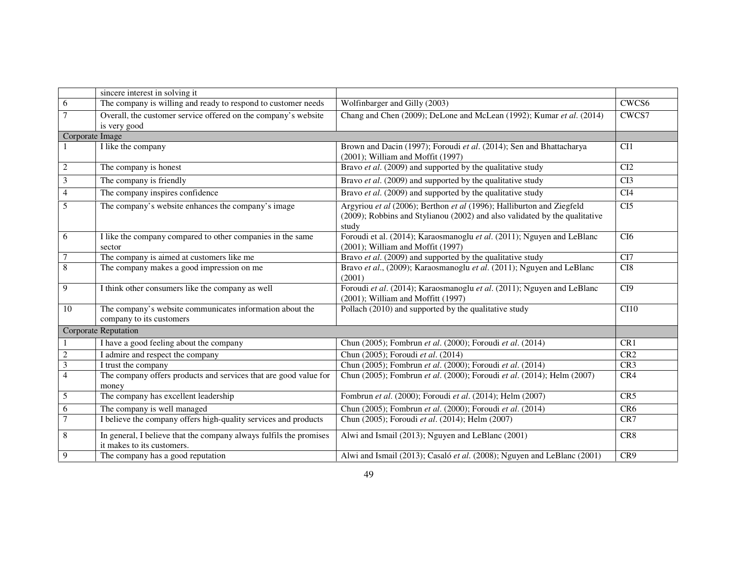|                         | sincere interest in solving it                                                                   |                                                                                                                                                              |                 |  |  |  |
|-------------------------|--------------------------------------------------------------------------------------------------|--------------------------------------------------------------------------------------------------------------------------------------------------------------|-----------------|--|--|--|
| 6                       | The company is willing and ready to respond to customer needs                                    | Wolfinbarger and Gilly (2003)                                                                                                                                | CWCS6           |  |  |  |
| $\overline{7}$          | Overall, the customer service offered on the company's website<br>is very good                   | Chang and Chen (2009); DeLone and McLean (1992); Kumar et al. (2014)                                                                                         | CWCS7           |  |  |  |
| Corporate Image         |                                                                                                  |                                                                                                                                                              |                 |  |  |  |
|                         | I like the company                                                                               | Brown and Dacin (1997); Foroudi et al. (2014); Sen and Bhattacharya<br>$(2001)$ ; William and Moffit $(1997)$                                                | CI1             |  |  |  |
| $\sqrt{2}$              | The company is honest                                                                            | Bravo et al. (2009) and supported by the qualitative study                                                                                                   | CI2             |  |  |  |
| $\overline{\mathbf{3}}$ | The company is friendly                                                                          | Bravo et al. (2009) and supported by the qualitative study                                                                                                   | CI <sub>3</sub> |  |  |  |
| $\overline{4}$          | The company inspires confidence                                                                  | Bravo et al. (2009) and supported by the qualitative study                                                                                                   | CI4             |  |  |  |
| 5                       | The company's website enhances the company's image                                               | Argyriou et al (2006); Berthon et al (1996); Halliburton and Ziegfeld<br>(2009); Robbins and Stylianou (2002) and also validated by the qualitative<br>study | CI <sub>5</sub> |  |  |  |
| 6                       | I like the company compared to other companies in the same<br>sector                             | Foroudi et al. (2014); Karaosmanoglu et al. (2011); Nguyen and LeBlanc<br>$(2001)$ ; William and Moffit $(1997)$                                             | CI6             |  |  |  |
| $7\phantom{.0}$         | The company is aimed at customers like me                                                        | Bravo et al. (2009) and supported by the qualitative study                                                                                                   | CI7             |  |  |  |
| $\,8\,$                 | The company makes a good impression on me                                                        | Bravo et al., (2009); Karaosmanoglu et al. (2011); Nguyen and LeBlanc<br>(2001)                                                                              | CI <sub>8</sub> |  |  |  |
| 9                       | I think other consumers like the company as well                                                 | Foroudi et al. (2014); Karaosmanoglu et al. (2011); Nguyen and LeBlanc<br>$(2001)$ ; William and Moffitt $(1997)$                                            | C <sub>I9</sub> |  |  |  |
| 10                      | The company's website communicates information about the<br>company to its customers             | Pollach (2010) and supported by the qualitative study                                                                                                        | CI10            |  |  |  |
| Corporate Reputation    |                                                                                                  |                                                                                                                                                              |                 |  |  |  |
|                         | I have a good feeling about the company                                                          | Chun (2005); Fombrun et al. (2000); Foroudi et al. (2014)                                                                                                    | CR1             |  |  |  |
| $\sqrt{2}$              | I admire and respect the company                                                                 | Chun (2005); Foroudi et al. (2014)                                                                                                                           | CR <sub>2</sub> |  |  |  |
| $\overline{\mathbf{3}}$ | I trust the company                                                                              | Chun (2005); Fombrun et al. (2000); Foroudi et al. (2014)                                                                                                    | CR <sub>3</sub> |  |  |  |
| $\overline{4}$          | The company offers products and services that are good value for<br>money                        | Chun (2005); Fombrun et al. (2000); Foroudi et al. (2014); Helm (2007)                                                                                       | CR4             |  |  |  |
| 5                       | The company has excellent leadership                                                             | Fombrun et al. (2000); Foroudi et al. (2014); Helm (2007)                                                                                                    | CR5             |  |  |  |
| 6                       | The company is well managed                                                                      | Chun (2005); Fombrun et al. (2000); Foroudi et al. (2014)                                                                                                    | CR <sub>6</sub> |  |  |  |
| $\overline{7}$          | I believe the company offers high-quality services and products                                  | Chun (2005); Foroudi et al. (2014); Helm (2007)                                                                                                              | CR7             |  |  |  |
| 8                       | In general, I believe that the company always fulfils the promises<br>it makes to its customers. | Alwi and Ismail (2013); Nguyen and LeBlanc (2001)                                                                                                            | CR <sub>8</sub> |  |  |  |
| 9                       | The company has a good reputation                                                                | Alwi and Ismail (2013); Casaló et al. (2008); Nguyen and LeBlanc (2001)                                                                                      | CR9             |  |  |  |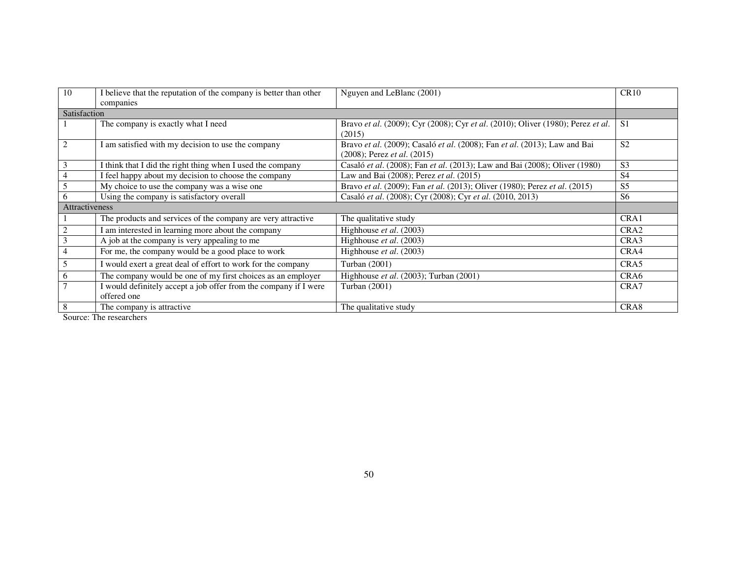| 10                    | I believe that the reputation of the company is better than other<br>companies  | Nguyen and LeBlanc (2001)                                                                                            | CR10             |  |  |  |  |
|-----------------------|---------------------------------------------------------------------------------|----------------------------------------------------------------------------------------------------------------------|------------------|--|--|--|--|
| Satisfaction          |                                                                                 |                                                                                                                      |                  |  |  |  |  |
|                       | The company is exactly what I need                                              | Bravo et al. (2009); Cyr (2008); Cyr et al. (2010); Oliver (1980); Perez et al.<br>(2015)                            | S <sub>1</sub>   |  |  |  |  |
|                       | I am satisfied with my decision to use the company                              | Bravo et al. (2009); Casaló et al. (2008); Fan et al. (2013); Law and Bai<br>$(2008)$ ; Perez <i>et al.</i> $(2015)$ | S <sub>2</sub>   |  |  |  |  |
| 3                     | I think that I did the right thing when I used the company                      | Casaló et al. (2008); Fan et al. (2013); Law and Bai (2008); Oliver (1980)                                           | S <sub>3</sub>   |  |  |  |  |
|                       | I feel happy about my decision to choose the company                            | Law and Bai (2008); Perez et al. (2015)                                                                              | <b>S4</b>        |  |  |  |  |
|                       | My choice to use the company was a wise one                                     | Bravo et al. (2009); Fan et al. (2013); Oliver (1980); Perez et al. (2015)                                           | S <sub>5</sub>   |  |  |  |  |
| 6                     | Using the company is satisfactory overall                                       | Casaló et al. (2008); Cyr (2008); Cyr et al. (2010, 2013)                                                            | S <sub>6</sub>   |  |  |  |  |
| <b>Attractiveness</b> |                                                                                 |                                                                                                                      |                  |  |  |  |  |
|                       | The products and services of the company are very attractive                    | The qualitative study                                                                                                | CRA1             |  |  |  |  |
|                       | I am interested in learning more about the company                              | Highhouse et al. (2003)                                                                                              | CRA <sub>2</sub> |  |  |  |  |
| 3                     | A job at the company is very appealing to me                                    | Highhouse et al. (2003)                                                                                              | CRA3             |  |  |  |  |
| 4                     | For me, the company would be a good place to work                               | Highhouse et al. (2003)                                                                                              | CRA4             |  |  |  |  |
| 5                     | I would exert a great deal of effort to work for the company                    | Turban (2001)                                                                                                        | CRA5             |  |  |  |  |
| 6                     | The company would be one of my first choices as an employer                     | Highhouse et al. (2003); Turban (2001)                                                                               | CRA <sub>6</sub> |  |  |  |  |
|                       | I would definitely accept a job offer from the company if I were<br>offered one | Turban (2001)                                                                                                        | CRA7             |  |  |  |  |
| 8                     | The company is attractive.                                                      | The qualitative study                                                                                                | CRA <sub>8</sub> |  |  |  |  |